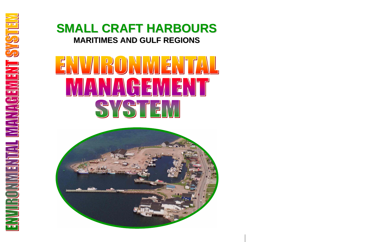# **SMALL CRAFT HARBOURS SMALL CRAFT HARBOURS MARITIMES AND GULF REGIONS MARITIMES AND GULF REGIONS**

# SYSTE.

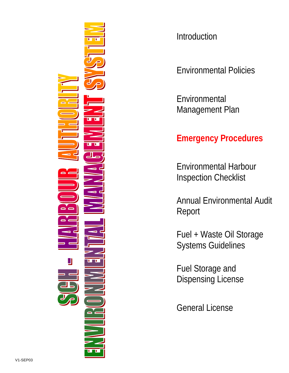

**Introduction** 

Environmental Policies

**Environmental** Management Plan

## **Emergency Procedures**

Environmental Harbour Inspection Checklist

Annual Environmental Audit Report

Fuel + Waste Oil Storage Systems Guidelines

Fuel Storage and Dispensing License

General License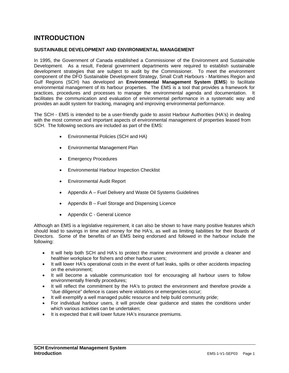### **INTRODUCTION**

### **SUSTAINABLE DEVELOPMENT AND ENVIRONMENTAL MANAGEMENT**

In 1995, the Government of Canada established a Commissioner of the Environment and Sustainable Development. As a result, Federal government departments were required to establish sustainable development strategies that are subject to audit by the Commissioner. To meet the environment component of the DFO Sustainable Development Strategy, Small Craft Harbours - Maritimes Region and Gulf Regions (SCH) has developed an **Environmental Management System (EMS**) to facilitate environmental management of its harbour properties. The EMS is a tool that provides a framework for practices, procedures and processes to manage the environmental agenda and documentation. It facilitates the communication and evaluation of environmental performance in a systematic way and provides an audit system for tracking, managing and improving environmental performance.

The SCH - EMS is intended to be a user-friendly guide to assist Harbour Authorities (HA's) in dealing with the most common and important aspects of environmental management of properties leased from SCH. The following sections are included as part of the EMS:

- Environmental Policies (SCH and HA)
- Environmental Management Plan
- Emergency Procedures
- Environmental Harbour Inspection Checklist
- Environmental Audit Report
- Appendix A Fuel Delivery and Waste Oil Systems Guidelines
- Appendix B Fuel Storage and Dispensing Licence
- Appendix C General Licence

Although an EMS is a legislative requirement, it can also be shown to have many positive features which should lead to savings in time and money for the HA's, as well as limiting liabilities for their Boards of Directors. Some of the benefits of an EMS being endorsed and followed in the harbour include the following:

- It will help both SCH and HA's to protect the marine environment and provide a cleaner and healthier workplace for fishers and other harbour users;
- It will lower HA's operational costs in the event of fuel leaks, spills or other accidents impacting on the environment;
- It will become a valuable communication tool for encouraging all harbour users to follow environmentally friendly procedures;
- It will reflect the commitment by the HA's to protect the environment and therefore provide a "due diligence" defence is cases where violations or emergencies occur;
- It will exemplify a well managed public resource and help build community pride;
- For individual harbour users, it will provide clear guidance and states the conditions under which various activities can be undertaken;
- It is expected that it will lower future HA's insurance premiums.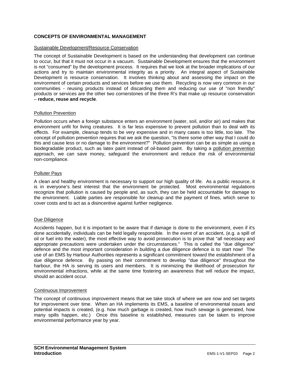### **CONCEPTS OF ENVIRONMENTAL MANAGEMENT**

### Sustainable Development/Resource Conservation

The concept of Sustainable Development is based on the understanding that development can continue to occur, but that it must not occur in a vacuum. Sustainable Development ensures that the environment is not "consumed" by the development process. It requires that we look at the broader implications of our actions and try to maintain environmental integrity as a priority. An integral aspect of Sustainable Development is resource conservation. It involves thinking about and assessing the impact on the environment of certain products and services before we use them. Recycling is now very common in our communities - reusing products instead of discarding them and reducing our use of "non friendly" products or services are the other two cornerstones of the three R's that make up resource conservation – **reduce, reuse and recycle**.

### Pollution Prevention

Pollution occurs when a foreign substance enters an environment (water, soil, and/or air) and makes that environment unfit for living creatures. It is far less expensive to prevent pollution than to deal with its effects. For example, cleanup tends to be very expensive and in many cases is too little, too late. The concept of pollution prevention requires that we ask the question, "Is there some other way that I could do this and cause less or no damage to the environment?" Pollution prevention can be as simple as using a biodegradable product, such as latex paint instead of oil-based paint. By taking a pollution prevention approach, we can save money, safeguard the environment and reduce the risk of environmental non-compliance.

### Polluter Pays

A clean and healthy environment is necessary to support our high quality of life. As a public resource, it is in everyone's best interest that the environment be protected. Most environmental regulations recognize that pollution is caused by people and, as such, they can be held accountable for damage to the environment. Liable parties are responsible for cleanup and the payment of fines, which serve to cover costs and to act as a disincentive against further negligence.

### Due Diligence

Accidents happen, but it is important to be aware that if damage is done to the environment, even if it's done accidentally, individuals can be held legally responsible. In the event of an accident, (e.g. a spill of oil or fuel into the water), the most effective way to avoid prosecution is to prove that "all necessary and appropriate precautions were undertaken under the circumstances." This is called the "due diligence" defence and the most important consideration in building a due diligence defence is to start now! The use of an EMS by Harbour Authorities represents a significant commitment toward the establishment of a due diligence defence. By passing on their commitment to develop "due diligence" throughout the harbour, the HA is serving its users and members. It is minimizing the likelihood of prosecution for environmental infractions, while at the same time fostering an awareness that will reduce the impact, should an accident occur.

### Continuous Improvement

The concept of continuous improvement means that we take stock of where we are now and set targets for improvement over time. When an HA implements its EMS, a baseline of environmental issues and potential impacts is created, (e.g. how much garbage is created, how much sewage is generated, how many spills happen, etc.) Once this baseline is established, measures can be taken to improve environmental performance year by year.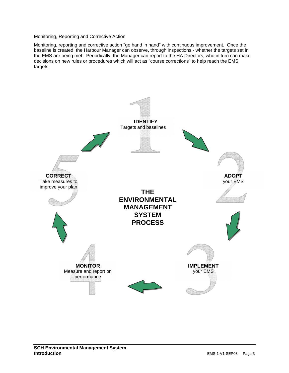### Monitoring, Reporting and Corrective Action

Monitoring, reporting and corrective action "go hand in hand" with continuous improvement. Once the baseline is created, the Harbour Manager can observe, through inspections,- whether the targets set in the EMS are being met. Periodically, the Manager can report to the HA Directors, who in turn can make decisions on new rules or procedures which will act as "course corrections" to help reach the EMS targets.

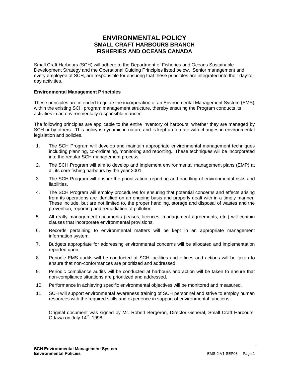### **ENVIRONMENTAL POLICY SMALL CRAFT HARBOURS BRANCH FISHERIES AND OCEANS CANADA**

Small Craft Harbours (SCH) will adhere to the Department of Fisheries and Oceans Sustainable Development Strategy and the Operational Guiding Principles listed below. Senior management and every employee of SCH, are responsible for ensuring that these principles are integrated into their day-today activities.

### **Environmental Management Principles**

These principles are intended to guide the incorporation of an Environmental Management System (EMS) within the existing SCH program management structure, thereby ensuring the Program conducts its activities in an environmentally responsible manner.

The following principles are applicable to the entire inventory of harbours, whether they are managed by SCH or by others. This policy is dynamic in nature and is kept up-to-date with changes in environmental legislation and policies.

- 1. The SCH Program will develop and maintain appropriate environmental management techniques including planning, co-ordinating, monitoring and reporting. These techniques will be incorporated into the regular SCH management process.
- 2. The SCH Program will aim to develop and implement environmental management plans (EMP) at all its core fishing harbours by the year 2001.
- 3. The SCH Program will ensure the prioritization, reporting and handling of environmental risks and liabilities.
- 4. The SCH Program will employ procedures for ensuring that potential concerns and effects arising from its operations are identified on an ongoing basis and properly dealt with in a timely manner. These include, but are not limited to, the proper handling, storage and disposal of wastes and the prevention, reporting and remediation of pollution.
- 5. All realty management documents (leases, licences, management agreements, etc.) will contain clauses that incorporate environmental provisions.
- 6. Records pertaining to environmental matters will be kept in an appropriate management information system.
- 7. Budgets appropriate for addressing environmental concerns will be allocated and implementation reported upon.
- 8. Periodic EMS audits will be conducted at SCH facilities and offices and actions will be taken to ensure that non-conformances are prioritized and addressed.
- 9. Periodic compliance audits will be conducted at harbours and action will be taken to ensure that non-compliance situations are prioritized and addressed.
- 10. Performance in achieving specific environmental objectives will be monitored and measured.
- 11. SCH will support environmental awareness training of SCH personnel and strive to employ human resources with the required skills and experience in support of environmental functions.

Original document was signed by Mr. Robert Bergeron, Director General, Small Craft Harbours, Ottawa on July 14<sup>th</sup>, 1998.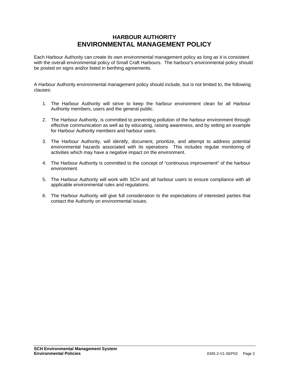### **HARBOUR AUTHORITY ENVIRONMENTAL MANAGEMENT POLICY**

Each Harbour Authority can create its own environmental management policy as long as it is consistent with the overall environmental policy of Small Craft Harbours. The harbour's environmental policy should be posted on signs and/or listed in berthing agreements.

A Harbour Authority environmental management policy should include, but is not limited to, the following clauses:

- 1. The Harbour Authority will strive to keep the harbour environment clean for all Harbour Authority members, users and the general public.
- 2. The Harbour Authority, is committed to preventing pollution of the harbour environment through effective communication as well as by educating, raising awareness, and by setting an example for Harbour Authority members and harbour users.
- 3. The Harbour Authority, will identify, document, prioritize, and attempt to address potential environmental hazards associated with its operations This includes regular monitoring of activities which may have a negative impact on the environment.
- 4. The Harbour Authority is committed to the concept of "continuous improvement" of the harbour environment.
- 5. The Harbour Authority will work with SCH and all harbour users to ensure compliance with all applicable environmental rules and regulations.
- 6. The Harbour Authority will give full consideration to the expectations of interested parties that contact the Authority on environmental issues.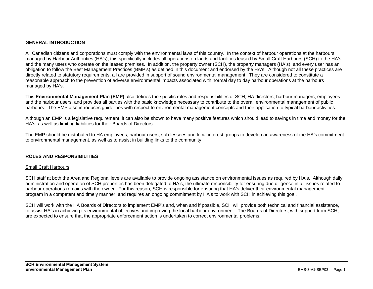### **GENERAL INTRODUCTION**

All Canadian citizens and corporations must comply with the environmental laws of this country. In the context of harbour operations at the harbours managed by Harbour Authorities (HA's), this specifically includes all operations on lands and facilities leased by Small Craft Harbours (SCH) to the HA's, and the many users who operate on the leased premises. In addition, the property owner (SCH), the property managers (HA's), and every user has an obligation to follow the Best Management Practices (BMP's) as defined in this document and endorsed by the HA's. Although not all these practices are directly related to statutory requirements, all are provided in support of sound environmental management. They are considered to constitute a reasonable approach to the prevention of adverse environmental impacts associated with normal day to day harbour operations at the harbours managed by HA's.

This **Environmental Management Plan (EMP)** also defines the specific roles and responsibilities of SCH, HA directors, harbour managers, employees and the harbour users, and provides all parties with the basic knowledge necessary to contribute to the overall environmental management of public harbours. The EMP also introduces guidelines with respect to environmental management concepts and their application to typical harbour activities.

Although an EMP is a legislative requirement, it can also be shown to have many positive features which should lead to savings in time and money for the HA's, as well as limiting liabilities for their Boards of Directors.

The EMP should be distributed to HA employees, harbour users, sub-lessees and local interest groups to develop an awareness of the HA's commitment to environmental management, as well as to assist in building links to the community.

### **ROLES AND RESPONSIBILITIES**

### Small Craft Harbours

SCH staff at both the Area and Regional levels are available to provide ongoing assistance on environmental issues as required by HA's. Although daily administration and operation of SCH properties has been delegated to HA's, the ultimate responsibility for ensuring due diligence in all issues related to harbour operations remains with the owner. For this reason, SCH is responsible for ensuring that HA's deliver their environmental management program in a competent and timely manner, and requires an ongoing commitment by HA's to work with SCH in achieving this goal.

SCH will work with the HA Boards of Directors to implement EMP's and, when and if possible, SCH will provide both technical and financial assistance, to assist HA's in achieving its environmental objectives and improving the local harbour environment. The Boards of Directors, with support from SCH, are expected to ensure that the appropriate enforcement action is undertaken to correct environmental problems.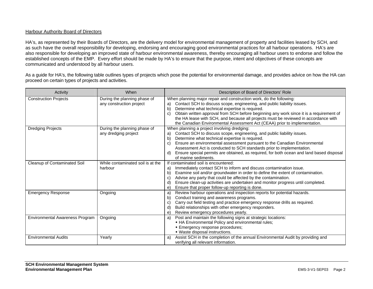### Harbour Authority Board of Directors

HA's, as represented by their Boards of Directors, are the delivery model for environmental management of property and facilities leased by SCH, and as such have the overall responsibility for developing, endorsing and encouraging good environmental practices for all harbour operations. HA's are also responsible for developing an improved state of harbour environmental awareness, thereby encouraging all harbour users to endorse and follow the established concepts of the EMP. Every effort should be made by HA's to ensure that the purpose, intent and objectives of these concepts are communicated and understood by all harbour users.

As a guide for HA's, the following table outlines types of projects which pose the potential for environmental damage, and provides advice on how the HA can proceed on certain types of projects and activities.

| Activity                        | When                                                     | Description of Board of Directors' Role                                                                                                                                                                                                                                                                                                                                                                                                                                            |
|---------------------------------|----------------------------------------------------------|------------------------------------------------------------------------------------------------------------------------------------------------------------------------------------------------------------------------------------------------------------------------------------------------------------------------------------------------------------------------------------------------------------------------------------------------------------------------------------|
| <b>Construction Projects</b>    | During the planning phase of<br>any construction project | When planning major repair and construction work, do the following:<br>Contact SCH to discuss scope, engineering, and public liability issues.<br>a)<br>Determine what technical expertise is required.<br>b)<br>Obtain written approval from SCH before beginning any work since it is a requirement of<br>C)<br>the HA lease with SCH, and because all projects must be reviewed in accordance with<br>the Canadian Environmental Assessment Act (CEAA) prior to implementation. |
| <b>Dredging Projects</b>        | During the planning phase of<br>any dredging project     | When planning a project involving dredging:<br>Contact SCH to discuss scope, engineering, and public liability issues.<br>a)<br>b)<br>Determine what technical expertise is required.<br>Ensure an environmental assessment pursuant to the Canadian Environmental<br>C)<br>Assessment Act is conducted to SCH standards prior to implementation.<br>Ensure special permits are obtained, as required, for both ocean and land based disposal<br>d)<br>of marine sediments.        |
| Cleanup of Contaminated Soil    | While contaminated soil is at the<br>harbour             | If contaminated soil is encountered:<br>Immediately contact SCH to inform and discuss contamination issue.<br>a)<br>Examine soil and/or groundwater in order to define the extent of contamination.<br>b)<br>Advise any party that could be affected by the contamination.<br>C)<br>Ensure clean-up activities are undertaken and monitor progress until completed.<br>d)<br>Ensure that proper follow-up reporting is done.<br>e)                                                 |
| <b>Emergency Response</b>       | Ongoing                                                  | Review harbour operations and inspection reports for potential hazards.<br>a)<br>Conduct training and awareness programs.<br>b)<br>Carry out field testing and practice emergency response drills as required.<br>C)<br>Build relationships with other emergency responders.<br>d)<br>Review emergency procedures yearly.<br>e)                                                                                                                                                    |
| Environmental Awareness Program | Ongoing                                                  | Post and maintain the following signs at strategic locations:<br>a)<br>• HA Environmental Policy and environmental rules;<br>• Emergency response procedures;<br>• Waste disposal instructions.                                                                                                                                                                                                                                                                                    |
| <b>Environmental Audits</b>     | Yearly                                                   | Assist SCH in the completion of the annual Environmental Audit by providing and<br>a)<br>verifying all relevant information.                                                                                                                                                                                                                                                                                                                                                       |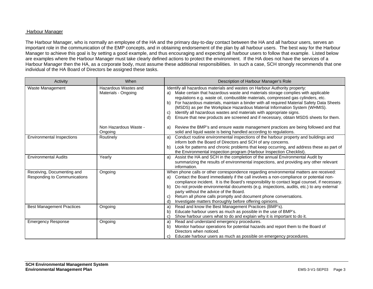### Harbour Manager

The Harbour Manager, who is normally an employee of the HA and the primary day-to-day contact between the HA and all harbour users, serves an important role in the communication of the EMP concepts, and in obtaining endorsement of the plan by all harbour users. The best way for the Harbour Manager to achieve this goal is by setting a good example, and thus encouraging and expecting all harbour users to follow that example. Listed below are examples where the Harbour Manager must take clearly defined actions to protect the environment. If the HA does not have the services of a Harbour Manager then the HA, as a corporate body, must assume these additional responsibilities. In such a case, SCH strongly recommends that one individual of the HA Board of Directors be assigned these tasks.

| Activity                                                   | When                                        | Description of Harbour Manager's Role                                                                                                                                                                                                                                                                                                                                                                                                                                                                                                                                                                                |
|------------------------------------------------------------|---------------------------------------------|----------------------------------------------------------------------------------------------------------------------------------------------------------------------------------------------------------------------------------------------------------------------------------------------------------------------------------------------------------------------------------------------------------------------------------------------------------------------------------------------------------------------------------------------------------------------------------------------------------------------|
| Waste Management                                           | Hazardous Wastes and<br>Materials - Ongoing | Identify all hazardous materials and wastes on Harbour Authority property:<br>Make certain that hazardous waste and materials storage complies with applicable<br>a)<br>regulations e.g. waste oil, combustible materials, compressed gas cylinders, etc.<br>For hazardous materials, maintain a binder with all required Material Safety Data Sheets<br>b)<br>(MSDS) as per the Workplace Hazardous Material Information System (WHMIS).<br>Identify all hazardous wastes and materials with appropriate signs.<br>C)<br>Ensure that new products are screened and if necessary, obtain MSDS sheets for them.<br>d) |
|                                                            | Non Hazardous Waste -<br>Ongoing            | Review the BMP's and ensure waste management practices are being followed and that<br>a)<br>solid and liquid waste is being handled according to regulations.                                                                                                                                                                                                                                                                                                                                                                                                                                                        |
| <b>Environmental Inspections</b>                           | Routinely                                   | Conduct routine environmental inspections of the harbour property and buildings and<br>a)<br>inform both the Board of Directors and SCH of any concerns.<br>Look for patterns and chronic problems that keep occurring, and address these as part of<br>b)<br>the Environmental inspection program (Harbour Inspection Checklist).                                                                                                                                                                                                                                                                                   |
| <b>Environmental Audits</b>                                | Yearly                                      | Assist the HA and SCH in the completion of the annual Environmental Audit by<br>a)<br>summarizing the results of environmental inspections, and providing any other relevant<br>information.                                                                                                                                                                                                                                                                                                                                                                                                                         |
| Receiving, Documenting and<br>Responding to Communications | Ongoing                                     | When phone calls or other correspondence regarding environmental matters are received:<br>Contact the Board immediately if the call involves a non-compliance or potential non-<br>a)<br>compliance incident. It is the Board's responsibility to contact legal counsel, if necessary.<br>Do not provide environmental documents (e.g. inspections, audits, etc.) to any external<br>b)<br>party without the advice of the Board.<br>Return all phone calls promptly and document phone conversations.<br>C)<br>Investigate matters thoroughly before offering opinions.<br>d)                                       |
| <b>Best Management Practices</b>                           | Ongoing                                     | Read and know the Best Management Practices (BMP's).<br>a)<br>Educate harbour users as much as possible in the use of BMP's.<br>b)<br>Show harbour users what to do and explain why it is important to do it.<br>C)                                                                                                                                                                                                                                                                                                                                                                                                  |
| <b>Emergency Response</b>                                  | Ongoing                                     | Read and understand emergency procedures.<br>a)<br>Monitor harbour operations for potential hazards and report them to the Board of<br>b)<br>Directors when noticed.<br>Educate harbour users as much as possible on emergency procedures.                                                                                                                                                                                                                                                                                                                                                                           |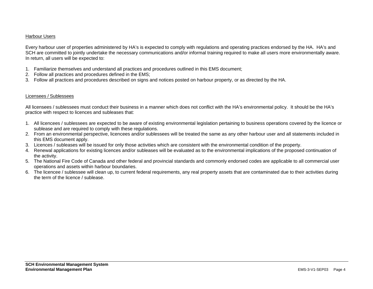### Harbour Users

Every harbour user of properties administered by HA's is expected to comply with regulations and operating practices endorsed by the HA. HA's and SCH are committed to jointly undertake the necessary communications and/or informal training required to make all users more environmentally aware. In return, all users will be expected to:

- 1. Familiarize themselves and understand all practices and procedures outlined in this EMS document;
- 2. Follow all practices and procedures defined in the EMS;
- 3. Follow all practices and procedures described on signs and notices posted on harbour property, or as directed by the HA.

### Licensees / Sublessees

All licensees / sublessees must conduct their business in a manner which does not conflict with the HA's environmental policy. It should be the HA's practice with respect to licences and subleases that:

- 1. All licencees / sublessees are expected to be aware of existing environmental legislation pertaining to business operations covered by the licence or sublease and are required to comply with these regulations.
- 2. From an environmental perspective, licencees and/or sublessees will be treated the same as any other harbour user and all statements included in this EMS document apply.
- 3. Licences / subleases will be issued for only those activities which are consistent with the environmental condition of the property.
- 4. Renewal applications for existing licences and/or subleases will be evaluated as to the environmental implications of the proposed continuation of the activity.
- 5. The National Fire Code of Canada and other federal and provincial standards and commonly endorsed codes are applicable to all commercial user operations and assets within harbour boundaries.
- 6. The licencee / sublessee will clean up, to current federal requirements, any real property assets that are contaminated due to their activities during the term of the licence / sublease.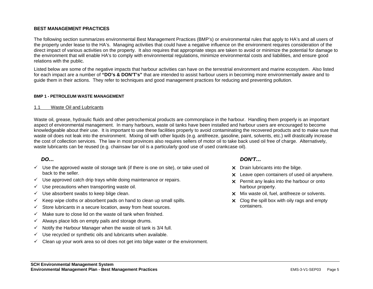### **BEST MANAGEMENT PRACTICES**

The following section summarizes environmental Best Management Practices (BMP's) or environmental rules that apply to HA's and all users of the property under lease to the HA's. Managing activities that could have a negative influence on the environment requires consideration of the direct impact of various activities on the property. It also requires that appropriate steps are taken to avoid or minimize the potential for damage to the environment that will enable HA's to comply with environmental regulations, minimize environmental costs and liabilities, and ensure good relations with the public.

Listed below are some of the negative impacts that harbour activities can have on the terrestrial environment and marine ecosystem. Also listed for each impact are a number of **"DO's & DON'T's"** that are intended to assist harbour users in becoming more environmentally aware and to guide them in their actions. They refer to techniques and good management practices for reducing and preventing pollution.

### **BMP 1 - PETROLEUM WASTE MANAGEMENT**

### 1.1 Waste Oil and Lubricants

Waste oil, grease, hydraulic fluids and other petrochemical products are commonplace in the harbour. Handling them properly is an important aspect of environmental management. In many harbours, waste oil tanks have been installed and harbour users are encouraged to become knowledgeable about their use. It is important to use these facilities properly to avoid contaminating the recovered products and to make sure that waste oil does not leak into the environment. Mixing oil with other liquids (e.g. antifreeze, gasoline, paint, solvents, etc.) will drastically increase the cost of collection services. The law in most provinces also requires sellers of motor oil to take back used oil free of charge. Alternatively, waste lubricants can be reused (e.g. chainsaw bar oil is a particularly good use of used crankcase oil).

### *DO…*

- $\checkmark$  Use the approved waste oil storage tank (if there is one on site), or take used oil back to the seller.
- $\checkmark$  Use approved catch drip trays while doing maintenance or repairs.
- $\checkmark$  Use precautions when transporting waste oil.
- $\checkmark$  Use absorbent swabs to keep bilge clean.
- $\checkmark$  Keep wipe cloths or absorbent pads on hand to clean up small spills.
- $\checkmark$  Store lubricants in a secure location, away from heat sources.
- $\checkmark$  Make sure to close lid on the waste oil tank when finished.
- $\checkmark$  Always place lids on empty pails and storage drums.
- $\checkmark$  Notify the Harbour Manager when the waste oil tank is 3/4 full.
- $\checkmark$  Use recycled or synthetic oils and lubricants when available.
- $\checkmark$  Clean up your work area so oil does not get into bilge water or the environment.

### *DON'T…*

- $\times$  Drain lubricants into the bilge.
- $\times$  Leave open containers of used oil anywhere.
- $\times$  Permit any leaks into the harbour or onto harbour property.
- $\times$  Mix waste oil, fuel, antifreeze or solvents.
- $\times$  Clog the spill box with oily rags and empty containers.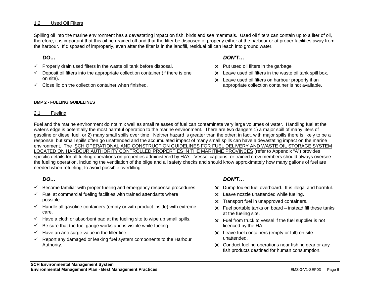### 1.2 Used Oil Filters

Spilling oil into the marine environment has a devastating impact on fish, birds and sea mammals. Used oil filters can contain up to a liter of oil, therefore, it is important that this oil be drained off and that the filter be disposed of properly either at the harbour or at proper facilities away from the harbour. If disposed of improperly, even after the filter is in the landfill, residual oil can leach into ground water.

### *DO…*

- $\checkmark$  Properly drain used filters in the waste oil tank before disposal.
- $\checkmark$  Deposit oil filters into the appropriate collection container (if there is one on site).
- $\checkmark$  Close lid on the collection container when finished.

### **BMP 2 - FUELING GUIDELINES**

### 2.1 Fueling

### *DON'T…*

- $\times$  Put used oil filters in the garbage
- $\times$  Leave used oil filters in the waste oil tank spill box.
- $\times$  Leave used oil filters on harbour property if an appropriate collection container is not available.

Fuel and the marine environment do not mix well as small releases of fuel can contaminate very large volumes of water. Handling fuel at the water's edge is potentially the most harmful operation to the marine environment. There are two dangers 1) a major spill of many liters of gasoline or diesel fuel, or 2) many small spills over time. Neither hazard is greater than the other; in fact, with major spills there is likely to be a response, but small spills often go unattended and the accumulated impact of many small spills can have a devastating impact on the marine environment. The SCH OPERATIONAL AND CONSTRUCTION GUIDELINES FOR FUEL DELIVERY AND WASTE OIL STORAGE SYSTEM LOCATED ON HARBOUR AUTHORITY CONTROLLED PROPERTIES IN THE MARITIME PROVINCES (refer to Appendix "A") provides specific details for all fueling operations on properties administered by HA's. Vessel captains, or trained crew members should always oversee the fueling operation, including the ventilation of the bilge and all safety checks and should know approximately how many gallons of fuel are needed when refueling, to avoid possible overfilling.

### *DO…*

- $\checkmark$  Become familiar with proper fueling and emergency response procedures.
- $\checkmark$  Fuel at commercial fueling facilities with trained attendants where possible.
- $\checkmark$  Handle all gasoline containers (empty or with product inside) with extreme care.
- $\checkmark$  Have a cloth or absorbent pad at the fueling site to wipe up small spills.
- $\checkmark$  Be sure that the fuel gauge works and is visible while fueling.
- $\checkmark$  Have an anti-surge value in the filler line.
- $\checkmark$  Report any damaged or leaking fuel system components to the Harbour Authority.

### *DON'T…*

- X Dump fouled fuel overboard. It is illegal and harmful.
- $\times$  Leave nozzle unattended while fueling.
- $\times$  Transport fuel in unapproved containers.
- $\times$  Fuel portable tanks on board instead fill these tanks at the fueling site.
- $\times$  Fuel from truck to vessel if the fuel supplier is not licenced by the HA.
- $\times$  Leave fuel containers (empty or full) on site unattended.
- $\times$  Conduct fueling operations near fishing gear or any fish products destined for human consumption.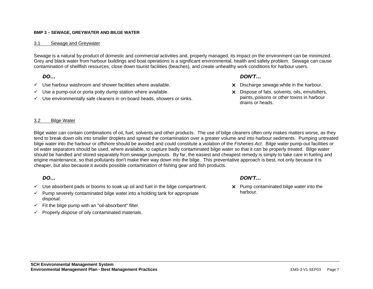### **BMP 3 – SEWAGE, GREYWATER AND BILGE WATER**

### 3.1 Sewage and Greywater

Sewage is a natural by-product of domestic and commercial activities and, properly managed, its impact on the environment can be minimized. Grey and black water from harbour buildings and boat operations is a significant environmental, health and safety problem. Sewage can cause contamination of shellfish resources, close down tourist facilities (beaches), and create unhealthy work conditions for harbour users.

### *DO…*

- *DON'T…*
- $\checkmark$  Use harbour washroom and shower facilities where available.
- $\checkmark$  Use a pump-out or porta potty dump station where available.
- $\checkmark$  Use environmentally safe cleaners in on-board heads, showers or sinks.
- $\times$  Discharge sewage while in the harbour.
- $\times$  Dispose of fats, solvents, oils, emulsifiers, paints, poisons or other toxins in harbour drains or heads.

### 3.2 Bilge Water

Bilge water can contain combinations of oil, fuel, solvents and other products. The use of bilge cleaners often only makes matters worse, as they tend to break down oils into smaller droplets and spread the contamination over a greater volume and into harbour sediments. Pumping untreated bilge water into the harbour or offshore should be avoided and could constitute a violation of the *Fisheries Act*. Bilge water pump-out facilities or oil water separators should be used, where available, to capture badly contaminated bilge water so that it can be properly treated. Bilge water should be handled and stored separately from sewage pumpouts. By far, the easiest and cheapest remedy is simply to take care in fueling and engine maintenance, so that pollutants don't make their way down into the bilge. This preventative approach is best, not only because it is cheaper, but also because it avoids possible contamination of fishing gear and fish products.

### *DO…*

- $\checkmark$  Use absorbent pads or booms to soak up oil and fuel in the bilge compartment.
- $\checkmark$  Pump severely contaminated bilge water into a holding tank for appropriate disposal.
- $\checkmark$  Fit the bilge pump with an "oil-absorbent" filter.
- $\checkmark$  Properly dispose of oily contaminated materials.

### *DON'T…*

 $\times$  Pump contaminated bilge water into the harbour.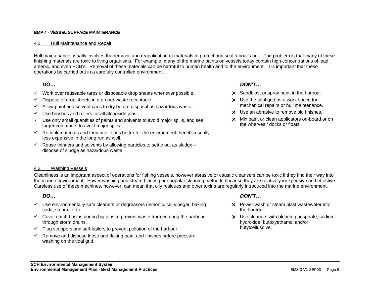### **BMP 4 - VESSEL SURFACE MAINTENANCE**

### 4.1 Hull Maintenance and Repair

Hull maintenance usually involves the removal and reapplication of materials to protect and seal a boat's hull. The problem is that many of these finishing materials are toxic to living organisms. For example, many of the marine paints on vessels today contain high concentrations of lead, arsenic, and even PCB's. Removal of these materials can be harmful to human health and to the environment. It is important that these operations be carried out in a carefully controlled environment.

### *DO…*

- $\checkmark$  Work over reuseable tarps or disposable drop sheets whenever possible.
- $\checkmark$  Dispose of drop sheets in a proper waste receptacle.
- $\checkmark$  Allow paint and solvent cans to dry before disposal as hazardous waste.
- $\checkmark$  Use brushes and rollers for all alongside jobs.
- $\checkmark$  Use only small quantities of paints and solvents to avoid major spills, and seal larger containers to avoid major spills.
- $\checkmark$  Rethink materials and their use. If it's better for the environment then it's usually less expensive in the long run as well.
- $\checkmark$  Reuse thinners and solvents by allowing particles to settle out as sludge dispose of sludge as hazardous waste.

### *DON'T…*

- $\times$  Sandblast or spray paint in the harbour.
- $\times$  Use the tidal grid as a work space for mechanical repairs or hull maintenance.
- $\times$  Use an abrasive to remove old finishes.
- $\times$  Mix paint or clean applicators on-board or on the wharves / docks or floats.

### 4.2 Washing Vessels

Cleanliness is an important aspect of operations for fishing vessels, however abrasive or caustic cleansers can be toxic if they find their way into the marine environment. Power washing and steam blasting are popular cleaning methods because they are relatively inexpensive and effective. Careless use of these machines, however, can mean that oily residues and other toxins are regularly introduced into the marine environment.

### *DO…*

- $\checkmark$  Use environmentally safe cleaners or degreasers (lemon juice, vinegar, baking soda, steam, etc.).
- $\checkmark$  Cover catch basins during big jobs to prevent waste from entering the harbour through storm drains.
- $\checkmark$  Plug scuppers and self-bailers to prevent pollution of the harbour.
- $\checkmark$  Remove and dispose loose and flaking paint and finishes before pressure washing on the tidal grid.

### *DON'T…*

- $\times$  Power wash or steam blast wastewater into the harbour.
- $\times$  Use cleaners with bleach, phosphate, sodium hydroxide, butoxyethamol and/or butylcellusolve.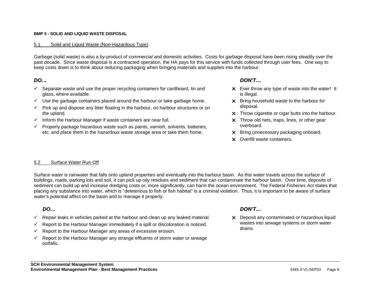### **BMP 5 - SOLID AND LIQUID WASTE DISPOSAL**

### 5.1 Solid and Liquid Waste (Non-Hazardous Type)

Garbage (solid waste) is also a by-product of commercial and domestic activities. Costs for garbage disposal have been rising steadily over the past decade. Since waste disposal is a contracted operation, the HA pays for this service with funds collected through user fees. One way to keep costs down is to think about reducing packaging when bringing materials and supplies into the harbour.

### *DO…*

- $\checkmark$  Separate waste and use the proper recycling containers for cardboard, tin and glass, where available.
- $\checkmark$  Use the garbage containers placed around the harbour or take garbage home.
- $\checkmark$  Pick up and dispose any litter floating in the harbour, on harbour structures or on the upland.
- $\checkmark$  Inform the Harbour Manager if waste containers are near full.
- $\checkmark$  Properly package hazardous waste such as paints, varnish, solvents, batteries, etc. and place them in the hazardous waste storage area or take them home.

### *DON'T…*

- $\times$  Ever throw any type of waste into the water! It is illegal.
- $\times$  Bring household waste to the harbour for disposal.
- $\times$  Throw cigarette or cigar butts into the harbour.
- $\times$  Throw old nets, traps, lines, or other gear overboard.
- X Bring unnecessary packaging onboard.
- x Overfill waste containers.

### 5.2 Surface Water Run-Off

Surface water is rainwater that falls onto upland properties and eventually into the harbour basin. As this water travels across the surface of buildings, roads, parking lots and soil, it can pick up oily residues and sediment that can contaminate the harbour basin. Over time, deposits of sediment can build up and increase dredging costs or, more significantly, can harm the ocean environment. The Federal *Fisheries Act* states that placing any substance into water, which is "deleterious to fish or fish habitat" is a criminal violation. Thus, it is important to be aware of surface water's potential affect on the basin and to manage it properly.

### *DO…*

- $\checkmark$  Repair leaks in vehicles parked at the harbour and clean up any leaked material.
- $\checkmark$  Report to the Harbour Manager immediately if a spill or discoloration is noticed.
- $\checkmark$  Report to the Harbour Manager any areas of excessive erosion.
- $\checkmark$  Report to the Harbour Manager any strange effluents of storm water or sewage outfalls.

### *DON'T…*

 $\times$  Deposit any contaminated or hazardous liquid wastes into sewage systems or storm water drains.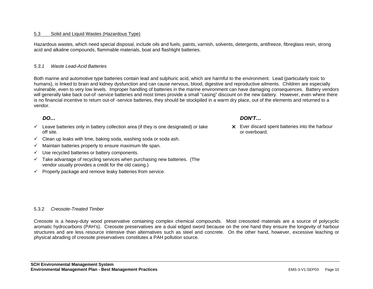### 5.3 Solid and Liquid Wastes (Hazardous Type)

Hazardous wastes, which need special disposal, include oils and fuels, paints, varnish, solvents, detergents, antifreeze, fibreglass resin, strong acid and alkaline compounds, flammable materials, boat and flashlight batteries.

### *5.3.1 Waste Lead-Acid Batteries*

Both marine and automotive type batteries contain lead and sulphuric acid, which are harmful to the environment. Lead (particularly toxic to humans), is linked to brain and kidney dysfunction and can cause nervous, blood, digestive and reproductive ailments. Children are especially vulnerable, even to very low levels. Improper handling of batteries in the marine environment can have damaging consequences. Battery vendors will generally take back out-of -service batteries and most times provide a small "casing" discount on the new battery. However, even where there is no financial incentive to return out-of -service batteries, they should be stockpiled in a warm dry place, out of the elements and returned to a vendor.

Creosote is a heavy-duty wood preservative containing complex chemical compounds. Most creosoted materials are a source of polycyclic aromatic hydrocarbons (PAH's). Creosote preservatives are a dual edged sword because on the one hand they ensure the longevity of harbour structures and are less resource intensive than alternatives such as steel and concrete. On the other hand, however, excessive leaching or

### *DO…*

- $\checkmark$  Leave batteries only in battery collection area (if they is one designated) or take off site.
- $\checkmark$  Clean up leaks with lime, baking soda, washing soda or soda ash.
- $\checkmark$  Maintain batteries properly to ensure maximum life span.
- $\checkmark$  Use recycled batteries or battery components.

5.3.2 *Creosote-Treated Timber* 

 $\checkmark$  Take advantage of recycling services when purchasing new batteries. (The vendor usually provides a credit for the old casing.)

physical abrading of creosote preservatives constitutes a PAH pollution source.

 $\checkmark$  Properly package and remove leaky batteries from service.

### *DON'T…*

 $\times$  Ever discard spent batteries into the harbour or overboard.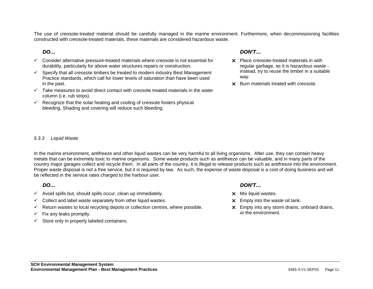The use of creosote-treated material should be carefully managed in the marine environment. Furthermore, when decommissioning facilities constructed with creosote-treated materials, these materials are considered hazardous waste.

### *DO…*

- $\checkmark$  Consider alternative pressure-treated materials where creosote is not essential for durability, particularly for above water structures repairs or construction.
- $\checkmark$  Specify that all creosote timbers be treated to modern industry Best Management Practice standards, which call for lower levels of saturation than have been used in the past.
- $\checkmark$  Take measures to avoid direct contact with creosote treated materials in the water column (i.e. rub strips).
- $\checkmark$  Recognize that the solar heating and cooling of creosote fosters physical bleeding. Shading and covering will reduce such bleeding.

### *DON'T…*

- $\times$  Place creosote-treated materials in with regular garbage, as it is hazardous waste instead, try to reuse the timber in a suitable way.
- x Burn materials treated with creosote.

### *5.3.3 Liquid Waste*

In the marine environment, antifreeze and other liquid wastes can be very harmful to all living organisms. After use, they can contain heavy metals that can be extremely toxic to marine organisms. Some waste products such as antifreeze can be valuable, and in many parts of the country major garages collect and recycle them. In all parts of the country, it is illegal to release products such as antifreeze into the environment. Proper waste disposal is not a free service, but it is required by law. As such, the expense of waste disposal is a cost of doing business and will be reflected in the service rates charged to the harbour user.

### *DO…*

- $\checkmark$  Avoid spills but, should spills occur, clean up immediately.
- $\checkmark$  Collect and label waste separately from other liquid wastes.
- $\checkmark$  Return wastes to local recycling depots or collection centres, where possible.
- $\checkmark$  Fix any leaks promptly.
- $\checkmark$  Store only in properly labeled containers.

### *DON'T…*

- $\times$  Mix liquid wastes.
- $\times$  Empty into the waste oil tank.
- $\times$  Empty into any storm drains, onboard drains, or the environment.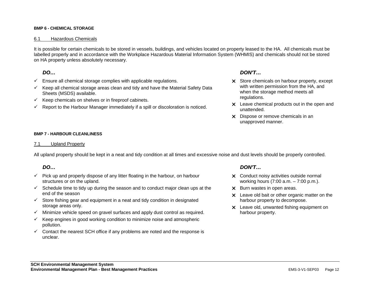### **BMP 6 - CHEMICAL STORAGE**

### 6.1 Hazardous Chemicals

It is possible for certain chemicals to be stored in vessels, buildings, and vehicles located on property leased to the HA. All chemicals must be labelled properly and in accordance with the Workplace Hazardous Material Information System (WHMIS) and chemicals should not be stored on HA property unless absolutely necessary.

### *DO…*

- $\checkmark$  Ensure all chemical storage complies with applicable regulations.
- $\checkmark$  Keep all chemical storage areas clean and tidy and have the Material Safety Data Sheets (MSDS) available.
- $\checkmark$  Keep chemicals on shelves or in fireproof cabinets.
- $\checkmark$  Report to the Harbour Manager immediately if a spill or discoloration is noticed.

### *DON'T…*

- X Store chemicals on harbour property, except with written permission from the HA, and when the storage method meets all regulations.
- $\times$  Leave chemical products out in the open and unattended.
- $\times$  Dispose or remove chemicals in an unapproved manner.

### **BMP 7 - HARBOUR CLEANLINESS**

### 7.1 Upland Property

All upland property should be kept in a neat and tidy condition at all times and excessive noise and dust levels should be properly controlled.

### *DO…*

- $\checkmark$  Pick up and properly dispose of any litter floating in the harbour, on harbour structures or on the upland.
- $\checkmark$  Schedule time to tidy up during the season and to conduct major clean ups at the end of the season
- $\checkmark$  Store fishing gear and equipment in a neat and tidy condition in designated storage areas only.
- $\checkmark$  Minimize vehicle speed on gravel surfaces and apply dust control as required.
- $\checkmark$  Keep engines in good working condition to minimize noise and atmospheric pollution.
- $\checkmark$  Contact the nearest SCH office if any problems are noted and the response is unclear.

### *DON'T…*

- $\times$  Conduct noisy activities outside normal working hours (7:00 a.m. – 7:00 p.m.).
- $\times$  Burn wastes in open areas.
- $\times$  Leave old bait or other organic matter on the harbour property to decompose.
- $\times$  Leave old, unwanted fishing equipment on harbour property.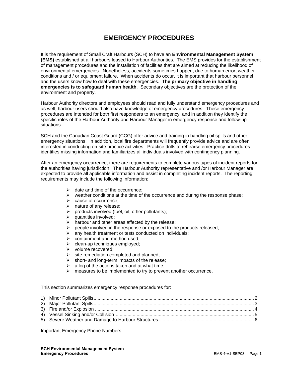### **EMERGENCY PROCEDURES**

It is the requirement of Small Craft Harbours (SCH) to have an **Environmental Management System (EMS)** established at all harbours leased to Harbour Authorities. The EMS provides for the establishment of management procedures and the installation of facilities that are aimed at reducing the likelihood of environmental emergencies. Nonetheless, accidents sometimes happen, due to human error, weather conditions and / or equipment failure. When accidents do occur, it is important that harbour personnel and the users know how to deal with these emergencies. **The primary objective in handling emergencies is to safeguard human health**. Secondary objectives are the protection of the environment and property.

Harbour Authority directors and employees should read and fully understand emergency procedures and as well, harbour users should also have knowledge of emergency procedures. These emergency procedures are intended for both first responders to an emergency, and in addition they identify the specific roles of the Harbour Authority and Harbour Manager in emergency response and follow-up situations.

SCH and the Canadian Coast Guard (CCG) offer advice and training in handling oil spills and other emergency situations. In addition, local fire departments will frequently provide advice and are often interested in conducting on-site practice activities. Practice drills to rehearse emergency procedures identifies missing information and familiarizes all individuals involved with contingency planning.

After an emergency occurrence, there are requirements to complete various types of incident reports for the authorities having jurisdiction. The Harbour Authority representative and /or Harbour Manager are expected to provide all applicable information and assist in completing incident reports. The reporting requirements may include the following information:

- $\triangleright$  date and time of the occurrence:
- $\triangleright$  weather conditions at the time of the occurrence and during the response phase;
- $\triangleright$  cause of occurrence:
- $\geq$  nature of any release;<br> $\geq$  products involved (fue
- products involved (fuel, oil, other pollutants);
- $\triangleright$  quantities involved:
- $\triangleright$  harbour and other areas affected by the release;
- $\triangleright$  people involved in the response or exposed to the products released;
- $\triangleright$  any health treatment or tests conducted on individuals;
- $\triangleright$  containment and method used;
- $\triangleright$  clean-up techniques employed;
- ¾ volume recovered;
- $\triangleright$  site remediation completed and planned:
- $\triangleright$  short- and long-term impacts of the release;
- $\triangleright$  a log of the actions taken and at what time;
- $\triangleright$  measures to be implemented to try to prevent another occurrence.

This section summarizes emergency response procedures for:

Important Emergency Phone Numbers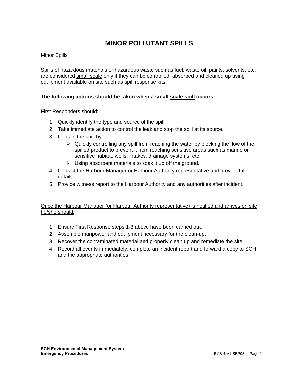### **MINOR POLLUTANT SPILLS**

### Minor Spills

Spills of hazardous materials or hazardous waste such as fuel, waste oil, paints, solvents, etc. are considered small scale only if they can be controlled, absorbed and cleaned up using equipment available on site such as spill response kits.

### **The following actions should be taken when a small scale spill occurs:**

### First Responders should:

- 1. Quickly identify the type and source of the spill.
- 2. Take immediate action to control the leak and stop the spill at its source.
- 3. Contain the spill by:
	- $\triangleright$  Quickly controlling any spill from reaching the water by blocking the flow of the spilled product to prevent it from reaching sensitive areas such as marine or sensitive habitat, wells, intakes, drainage systems, etc.
	- $\triangleright$  Using absorbent materials to soak it up off the ground.
- 4. Contact the Harbour Manager or Harbour Authority representative and provide full details.
- 5. Provide witness report to the Harbour Authority and any authorities after incident.

- 1. Ensure First Response steps 1-3 above have been carried out.
- 2. Assemble manpower and equipment necessary for the clean-up.
- 3. Recover the contaminated material and properly clean up and remediate the site.
- 4. Record all events immediately, complete an incident report and forward a copy to SCH and the appropriate authorities.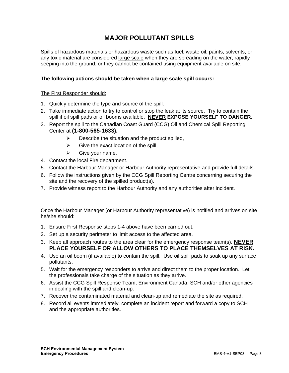### **MAJOR POLLUTANT SPILLS**

Spills of hazardous materials or hazardous waste such as fuel, waste oil, paints, solvents, or any toxic material are considered large scale when they are spreading on the water, rapidly seeping into the ground, or they cannot be contained using equipment available on site.

### **The following actions should be taken when a large scale spill occurs:**

### The First Responder should:

- 1. Quickly determine the type and source of the spill.
- 2. Take immediate action to try to control or stop the leak at its source. Try to contain the spill if oil spill pads or oil booms available. **NEVER EXPOSE YOURSELF TO DANGER.**
- 3. Report the spill to the Canadian Coast Guard (CCG) Oil and Chemical Spill Reporting Center at **(1-800-565-1633).**
	- $\triangleright$  Describe the situation and the product spilled,
	- $\triangleright$  Give the exact location of the spill,
	- $\triangleright$  Give your name.
- 4. Contact the local Fire department.
- 5. Contact the Harbour Manager or Harbour Authority representative and provide full details.
- 6. Follow the instructions given by the CCG Spill Reporting Centre concerning securing the site and the recovery of the spilled product(s).
- 7. Provide witness report to the Harbour Authority and any authorities after incident.

- 1. Ensure First Response steps 1-4 above have been carried out.
- 2. Set up a security perimeter to limit access to the affected area.
- 3. Keep all approach routes to the area clear for the emergency response team(s). **NEVER PLACE YOURSELF OR ALLOW OTHERS TO PLACE THEMSELVES AT RISK.**
- 4. Use an oil boom (if available) to contain the spill. Use oil spill pads to soak up any surface pollutants.
- 5. Wait for the emergency responders to arrive and direct them to the proper location. Let the professionals take charge of the situation as they arrive.
- 6. Assist the CCG Spill Response Team, Environment Canada, SCH and/or other agencies in dealing with the spill and clean-up.
- 7. Recover the contaminated material and clean-up and remediate the site as required.
- 8. Record all events immediately, complete an incident report and forward a copy to SCH and the appropriate authorities.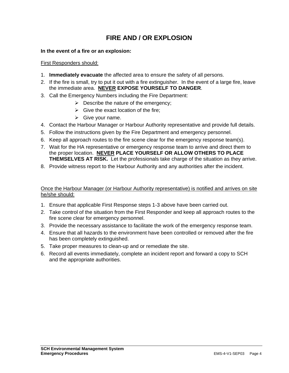### **FIRE AND / OR EXPLOSION**

### **In the event of a fire or an explosion:**

### First Responders should:

- 1. **Immediately evacuate** the affected area to ensure the safety of all persons.
- 2. If the fire is small, try to put it out with a fire extinguisher. In the event of a large fire, leave the immediate area. **NEVER EXPOSE YOURSELF TO DANGER**.
- 3. Call the Emergency Numbers including the Fire Department:
	- $\triangleright$  Describe the nature of the emergency;
	- $\triangleright$  Give the exact location of the fire;
	- $\triangleright$  Give your name.
- 4. Contact the Harbour Manager or Harbour Authority representative and provide full details.
- 5. Follow the instructions given by the Fire Department and emergency personnel.
- 6. Keep all approach routes to the fire scene clear for the emergency response team(s).
- 7. Wait for the HA representative or emergency response team to arrive and direct them to the proper location. **NEVER PLACE YOURSELF OR ALLOW OTHERS TO PLACE THEMSELVES AT RISK.** Let the professionals take charge of the situation as they arrive.
- 8. Provide witness report to the Harbour Authority and any authorities after the incident.

- 1. Ensure that applicable First Response steps 1-3 above have been carried out.
- 2. Take control of the situation from the First Responder and keep all approach routes to the fire scene clear for emergency personnel.
- 3. Provide the necessary assistance to facilitate the work of the emergency response team.
- 4. Ensure that all hazards to the environment have been controlled or removed after the fire has been completely extinguished.
- 5. Take proper measures to clean-up and or remediate the site.
- 6. Record all events immediately, complete an incident report and forward a copy to SCH and the appropriate authorities.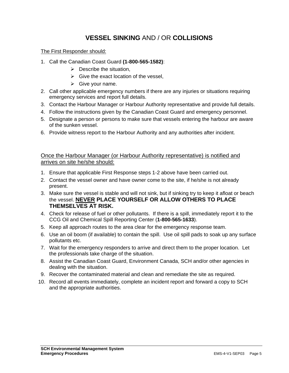### **VESSEL SINKING** AND / OR **COLLISIONS**

The First Responder should:

- 1. Call the Canadian Coast Guard **(1-800-565-1582)**:
	- $\triangleright$  Describe the situation,
	- $\triangleright$  Give the exact location of the vessel,
	- $\triangleright$  Give your name.
- 2. Call other applicable emergency numbers if there are any injuries or situations requiring emergency services and report full details.
- 3. Contact the Harbour Manager or Harbour Authority representative and provide full details.
- 4. Follow the instructions given by the Canadian Coast Guard and emergency personnel.
- 5. Designate a person or persons to make sure that vessels entering the harbour are aware of the sunken vessel.
- 6. Provide witness report to the Harbour Authority and any authorities after incident.

- 1. Ensure that applicable First Response steps 1-2 above have been carried out.
- 2. Contact the vessel owner and have owner come to the site, if he/she is not already present.
- 3. Make sure the vessel is stable and will not sink, but if sinking try to keep it afloat or beach the vessel. **NEVER PLACE YOURSELF OR ALLOW OTHERS TO PLACE THEMSELVES AT RISK.**
- 4. Check for release of fuel or other pollutants. If there is a spill, immediately report it to the CCG Oil and Chemical Spill Reporting Center (**1-800-565-1633**).
- 5. Keep all approach routes to the area clear for the emergency response team.
- 6. Use an oil boom (if available) to contain the spill. Use oil spill pads to soak up any surface pollutants etc.
- 7. Wait for the emergency responders to arrive and direct them to the proper location. Let the professionals take charge of the situation.
- 8. Assist the Canadian Coast Guard, Environment Canada, SCH and/or other agencies in dealing with the situation.
- 9. Recover the contaminated material and clean and remediate the site as required.
- 10. Record all events immediately, complete an incident report and forward a copy to SCH and the appropriate authorities.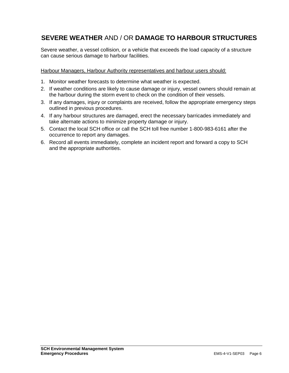### **SEVERE WEATHER** AND / OR **DAMAGE TO HARBOUR STRUCTURES**

Severe weather, a vessel collision, or a vehicle that exceeds the load capacity of a structure can cause serious damage to harbour facilities.

Harbour Managers, Harbour Authority representatives and harbour users should:

- 1. Monitor weather forecasts to determine what weather is expected.
- 2. If weather conditions are likely to cause damage or injury, vessel owners should remain at the harbour during the storm event to check on the condition of their vessels.
- 3. If any damages, injury or complaints are received, follow the appropriate emergency steps outlined in previous procedures.
- 4. If any harbour structures are damaged, erect the necessary barricades immediately and take alternate actions to minimize property damage or injury.
- 5. Contact the local SCH office or call the SCH toll free number 1-800-983-6161 after the occurrence to report any damages.
- 6. Record all events immediately, complete an incident report and forward a copy to SCH and the appropriate authorities.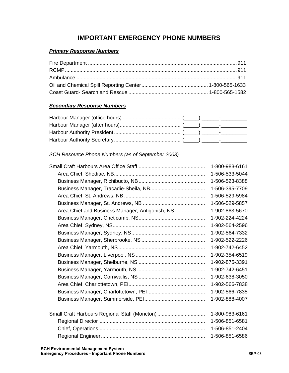### **IMPORTANT EMERGENCY PHONE NUMBERS**

### *Primary Response Numbers*

### *Secondary Response Numbers*

### *SCH Resource Phone Numbers (as of September 2003)*

|                                                 | 1-800-983-6161 |
|-------------------------------------------------|----------------|
|                                                 | 1-506-533-5044 |
|                                                 | 1-506-523-8388 |
|                                                 | 1-506-395-7709 |
|                                                 | 1-506-529-5984 |
|                                                 | 1-506-529-5857 |
| Area Chief and Business Manager, Antigonish, NS | 1-902-863-5670 |
|                                                 | 1-902-224-4224 |
|                                                 | 1-902-564-2596 |
|                                                 | 1-902-564-7332 |
|                                                 | 1-902-522-2226 |
|                                                 | 1-902-742-6452 |
|                                                 | 1-902-354-6519 |
|                                                 | 1-902-875-3391 |
|                                                 | 1-902-742-6451 |
|                                                 | 1-902-638-3050 |
|                                                 | 1-902-566-7838 |
|                                                 | 1-902-566-7835 |
|                                                 | 1-902-888-4007 |
|                                                 |                |
| Small Craft Harbours Regional Staff (Moncton)   | 1-800-983-6161 |
|                                                 | 1-506-851-6581 |
|                                                 | 1-506-851-2404 |
|                                                 | 1-506-851-6586 |
|                                                 |                |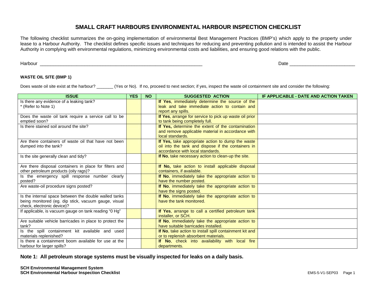### **SMALL CRAFT HARBOURS ENVIRONMENTAL HARBOUR INSPECTION CHECKLIST**

The following checklist summarizes the on-going implementation of environmental Best Management Practices (BMP's) which apply to the property under lease to a Harbour Authority. The checklist defines specific issues and techniques for reducing and preventing pollution and is intended to assist the Harbour Authority in complying with environmental regulations, minimizing environmental costs and liabilities, and ensuring good relations with the public.

Harbour \_\_\_\_\_\_\_\_\_\_\_\_\_\_\_\_\_\_\_\_\_\_\_\_\_\_\_\_\_\_\_\_\_\_\_\_\_\_\_\_\_\_\_\_\_\_\_\_\_\_\_\_\_\_\_\_\_\_\_\_\_\_ Date \_\_\_\_\_\_\_\_\_\_\_\_\_\_\_\_\_\_\_\_\_\_\_\_\_

### **WASTE OIL SITE (BMP 1)**

Does waste oil site exist at the harbour? (Yes or No). If no, proceed to next section; if yes, inspect the waste oil containment site and consider the following:

| <b>ISSUE</b>                                            | <b>YES</b> | <b>NO</b> | <b>SUGGESTED ACTION</b>                                 | IF APPLICABLE - DATE AND ACTION TAKEN |
|---------------------------------------------------------|------------|-----------|---------------------------------------------------------|---------------------------------------|
| Is there any evidence of a leaking tank?                |            |           | If Yes, immediately determine the source of the         |                                       |
| * (Refer to Note 1)                                     |            |           | leak and take immediate action to contain and           |                                       |
|                                                         |            |           | report any spills.                                      |                                       |
| Does the waste oil tank require a service call to be    |            |           | If Yes, arrange for service to pick up waste oil prior  |                                       |
| emptied soon?                                           |            |           | to tank being completely full.                          |                                       |
| Is there stained soil around the site?                  |            |           | If Yes, determine the extent of the contamination       |                                       |
|                                                         |            |           | and remove applicable material in accordance with       |                                       |
|                                                         |            |           | local standards.                                        |                                       |
| Are there containers of waste oil that have not been    |            |           | If Yes, take appropriate action to dump the waste       |                                       |
| dumped into the tank?                                   |            |           | oil into the tank and dispose if the containers in      |                                       |
|                                                         |            |           | accordance with local standards.                        |                                       |
| Is the site generally clean and tidy?                   |            |           | If No, take necessary action to clean-up the site.      |                                       |
|                                                         |            |           |                                                         |                                       |
| Are there disposal containers in place for filters and  |            |           | If No, take action to install applicable disposal       |                                       |
| other petroleum products (oily rags)?                   |            |           | containers, if available.                               |                                       |
| Is the emergency spill response number clearly          |            |           | If No, immediately take the appropriate action to       |                                       |
| posted?                                                 |            |           | have the number posted.                                 |                                       |
| Are waste-oil procedure signs posted?                   |            |           | If No, immediately take the appropriate action to       |                                       |
|                                                         |            |           | have the signs posted.                                  |                                       |
| Is the internal space between the double walled tanks   |            |           | If No, immediately take the appropriate action to       |                                       |
| being monitored (eg. dip stick, vacuum gauge, visual    |            |           | have the tank monitored.                                |                                       |
| check, electronic device)?                              |            |           |                                                         |                                       |
| If applicable, is vacuum gauge on tank reading "0 Hg"   |            |           | If Yes, arrange to call a certified petroleum tank      |                                       |
|                                                         |            |           | installer, or SCH.                                      |                                       |
| Are suitable vehicle barricades in place to protect the |            |           | If No, immediately take the appropriate action to       |                                       |
| tank?                                                   |            |           | have suitable barricades installed.                     |                                       |
| Is the spill containment kit available and used         |            |           | If No, take action to install spill containment kit and |                                       |
| materials replenished?                                  |            |           | or to replenish absorbent materials.                    |                                       |
| Is there a containment boom available for use at the    |            |           | If No, check into availability with local fire          |                                       |
| harbour for larger spills?                              |            |           | departments.                                            |                                       |

**Note 1: All petroleum storage systems must be visually inspected for leaks on a daily basis.**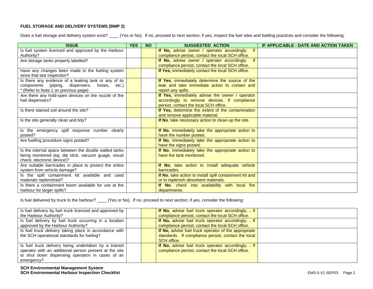### **FUEL STORAGE AND DELIVERY SYSTEMS (BMP 2)**

Does a fuel storage and delivery system exist? \_\_\_\_ (Yes or No). If no, proceed to next section; if yes, inspect the fuel sites and fuelling practices and consider the following:

| <b>ISSUE</b>                                                                                                                                  | <b>YES</b> | <b>NO</b> | <b>SUGGESTED ACTION</b>                                                                                                                   | IF APPLICABLE - DATE AND ACTION TAKEN |
|-----------------------------------------------------------------------------------------------------------------------------------------------|------------|-----------|-------------------------------------------------------------------------------------------------------------------------------------------|---------------------------------------|
| Is fuel system licenced and approved by the Harbour<br>Authority?                                                                             |            |           | f <br>If No, advise owner / operator accordingly.<br>compliance persist, contact the local SCH office.                                    |                                       |
| Are storage tanks properly labelled?                                                                                                          |            |           | If No, advise owner / operator accordingly.<br>compliance persist, contact the local SCH office.                                          |                                       |
| Have any changes been made to the fueling system<br>since that last inspection?                                                               |            |           | If Yes, immediately contact the local SCH office.                                                                                         |                                       |
| Is there any evidence of a leaking tank or any of its<br>components (piping, dispensers, hoses, etc.)<br>* (Refer to Note 1 on previous page) |            |           | If Yes, immediately determine the source of the<br>leak and take immediate action to contain and<br>report any spills.                    |                                       |
| Are there any hold-open devices on the nozzle of the<br>fuel dispensers?                                                                      |            |           | If Yes, immediately advise the owner / operator<br>accordingly to remove devices. If compliance<br>persist, contact the local SCH office. |                                       |
| Is there stained soil around the site?                                                                                                        |            |           | If Yes, determine the extent of the contamination<br>and remove applicable material.                                                      |                                       |
| Is the site generally clean and tidy?                                                                                                         |            |           | If No, take necessary action to clean-up the site.                                                                                        |                                       |
| Is the emergency spill response number clearly<br>posted?                                                                                     |            |           | If No, immediately take the appropriate action to<br>have the number posted.                                                              |                                       |
| Are fuelling procedure signs posted?                                                                                                          |            |           | If No, immediately take the appropriate action to<br>have the signs posted.                                                               |                                       |
| Is the internal space between the double walled tanks<br>being monitored (eg. dip stick, vacuum guage, visual<br>check, electronic device)?   |            |           | If No, immediately take the appropriate action to<br>have the tank monitored.                                                             |                                       |
| Are suitable barricades in place to protect the entire<br>system from vehicle damage?                                                         |            |           | If No, take action to install adequate vehicle<br>barricades.                                                                             |                                       |
| Is the spill containment kit available and used<br>materials replenished?                                                                     |            |           | If No, take action to install spill containment kit and<br>or to replenish absorbent materials.                                           |                                       |
| Is there a containment boom available for use at the<br>harbour for larger spills?                                                            |            |           | If No, check into availability with local fire<br>departments.                                                                            |                                       |

Is fuel delivered by truck to the harbour? \_\_\_\_ (Yes or No). If no, proceed to next section; if yes, consider the following:

| Is fuel delivery by fuel truck licenced and approved by |  | If No, advise fuel truck operator accordingly. If    |  |
|---------------------------------------------------------|--|------------------------------------------------------|--|
| the Harbour Authority?                                  |  | compliance persist, contact the local SCH office.    |  |
| Is fuel delivery by fuel truck occurring in a location  |  | If No, advise fuel truck operator accordingly. . If  |  |
| approved by the Harbour Authority?                      |  | compliance persist, contact the local SCH office.    |  |
| Is fuel truck delivery taking place in accordance with  |  | If No, advise fuel truck operator of the appropriate |  |
| the SCH operational standards for fueling?              |  | standards. If compliance persist, contact the local  |  |
|                                                         |  | SCH office.                                          |  |
| Is fuel truck delivery being undertaken by a trained    |  | If No, advise fuel truck operator accordingly. If    |  |
| operator with an additional person present at the site  |  | compliance persist, contact the local SCH office.    |  |
| to shut down dispensing operation in cases of an        |  |                                                      |  |
| emergency?                                              |  |                                                      |  |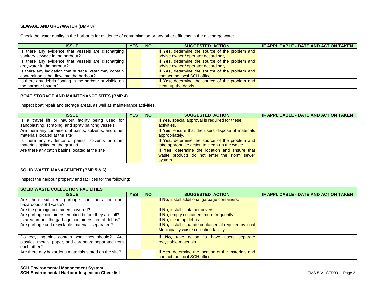### **SEWAGE AND GREYWATER (BMP 3)**

Check the water quality in the harbours for evidence of contamination or any other effluents in the discharge water.

| <b>ISSUE</b>                                                      | YES. | <b>NO</b> | <b>SUGGESTED ACTION</b>                                | IF APPLICABLE - DATE AND ACTION TAKEN |
|-------------------------------------------------------------------|------|-----------|--------------------------------------------------------|---------------------------------------|
| Is there any evidence that vessels are discharging                |      |           | If Yes, determine the source of the problem and        |                                       |
| sanitary sewage in the harbour?                                   |      |           | advise owner / operator accordingly.                   |                                       |
| Is there any evidence that vessels are discharging                |      |           | If Yes, determine the source of the problem and        |                                       |
| greywater in the harbour?                                         |      |           | advise owner / operator accordingly.                   |                                       |
| Is there any indication that surface water may contain            |      |           | <b>If Yes, determine the source of the problem and</b> |                                       |
| contaminants that flow into the harbour?                          |      |           | contact the local SCH office.                          |                                       |
| Is there any debris floating in the harbour or visible on $\vert$ |      |           | If Yes, determine the source of the problem and        |                                       |
| the harbour bottom?                                               |      |           | clean up the debris.                                   |                                       |

### **BOAT STORAGE AND MAINTENANCE SITES (BMP 4)**

Inspect boat repair and storage areas, as well as maintenance activities.

| <b>ISSUE</b>                                            | <b>YES</b> | <b>NO</b> | <b>SUGGESTED ACTION</b>                            | IF APPLICABLE - DATE AND ACTION TAKEN |
|---------------------------------------------------------|------------|-----------|----------------------------------------------------|---------------------------------------|
| Is a travel lift or haulout facility being used for     |            |           | If Yes, special approval is required for these     |                                       |
| sandblasting, scraping, and spray painting vessels?     |            |           | activities.                                        |                                       |
| Are there any containers of paints, solvents, and other |            |           | If Yes, ensure that the users dispose of materials |                                       |
| materials located at the site?                          |            |           | appropriately.                                     |                                       |
| Is there any evidence of paints, solvents or other      |            |           | If Yes, determine the source of the problem and    |                                       |
| materials spilled on the ground?                        |            |           | take appropriate action to clean-up the waste.     |                                       |
| Are there any catch basins located at the site?         |            |           | If Yes, determine the location and ensure that     |                                       |
|                                                         |            |           | waste products do not enter the storm sewer        |                                       |
|                                                         |            |           | system.                                            |                                       |

### **SOLID WASTE MANAGEMENT (BMP 5 & 6)**

Inspect the harbour property and facilities for the following:

| <b>SOLID WASTE COLLECTION FACILITIES</b>              |            |           |                                                         |                                       |  |  |  |
|-------------------------------------------------------|------------|-----------|---------------------------------------------------------|---------------------------------------|--|--|--|
| <b>ISSUE</b>                                          | <b>YES</b> | <b>NO</b> | <b>SUGGESTED ACTION</b>                                 | IF APPLICABLE - DATE AND ACTION TAKEN |  |  |  |
| Are there sufficient garbage containers for non-      |            |           | If No, install additional garbage containers.           |                                       |  |  |  |
| hazardous solid waste?                                |            |           |                                                         |                                       |  |  |  |
| Are the garbage containers covered?                   |            |           | If No, install container covers.                        |                                       |  |  |  |
| Are garbage containers emptied before they are full?  |            |           | If No, empty containers more frequently.                |                                       |  |  |  |
| Is area around the garbage containers free of debris? |            |           | If No, clean up debris.                                 |                                       |  |  |  |
| Are garbage and recyclable materials separated?       |            |           | If No, install separate containers if required by local |                                       |  |  |  |
|                                                       |            |           | Municipality waste collection facility.                 |                                       |  |  |  |
| Do recycling bins contain what they should? Are       |            |           | If No, take action to have users separate               |                                       |  |  |  |
| plastics, metals, paper, and cardboard separated from |            |           | recyclable materials.                                   |                                       |  |  |  |
| each other?                                           |            |           |                                                         |                                       |  |  |  |
| Are there any hazardous materials stored on the site? |            |           | If Yes, determine the location of the materials and     |                                       |  |  |  |
|                                                       |            |           | contact the local SCH office.                           |                                       |  |  |  |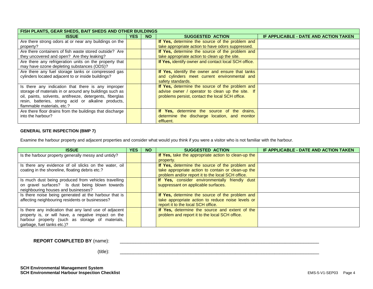| FISH PLANTS, GEAR SHEDS, BAIT SHEDS AND OTHER BUILDINGS  |            |           |                                                      |                                       |  |  |  |
|----------------------------------------------------------|------------|-----------|------------------------------------------------------|---------------------------------------|--|--|--|
| <b>ISSUE</b>                                             | <b>YES</b> | <b>NO</b> | <b>SUGGESTED ACTION</b>                              | IF APPLICABLE - DATE AND ACTION TAKEN |  |  |  |
| Are there strong odors at or near any buildings on the   |            |           | If Yes, determine the source of the problem and      |                                       |  |  |  |
| property?                                                |            |           | take appropriate action to have odors suppressed.    |                                       |  |  |  |
| Are there containers of fish waste stored outside? Are   |            |           | If Yes, determine the source of the problem and      |                                       |  |  |  |
| they uncovered and open? Are they leaking?               |            |           | take appropriate action to clean up the site.        |                                       |  |  |  |
| Are there any refrigeration units on the property that   |            |           | If Yes, identify owner and contact local SCH office. |                                       |  |  |  |
| may have ozone depleting substances (ODS)?               |            |           |                                                      |                                       |  |  |  |
| Are there any fuel storage tanks or compressed gas       |            |           | If Yes, identify the owner and ensure that tanks     |                                       |  |  |  |
| cylinders located adjacent to or inside buildings?       |            |           | and cylinders meet current environmental and         |                                       |  |  |  |
|                                                          |            |           | safety standards.                                    |                                       |  |  |  |
| Is there any indication that there is any improper       |            |           | If Yes, determine the source of the problem and      |                                       |  |  |  |
| storage of materials in or around any buildings such as  |            |           | advise owner / operator to clean up the site. If     |                                       |  |  |  |
| oil, paints, solvents, antifreeze, detergents, fiberglas |            |           | problems persist, contact the local SCH office.      |                                       |  |  |  |
| resin, batteries, strong acid or alkaline products,      |            |           |                                                      |                                       |  |  |  |
| flammable materials, etc.?                               |            |           |                                                      |                                       |  |  |  |
| Are there floor drains from the buildings that discharge |            |           | If Yes, determine the source of the drains,          |                                       |  |  |  |
| into the harbour?                                        |            |           | determine the discharge location, and monitor        |                                       |  |  |  |
|                                                          |            |           | effluent.                                            |                                       |  |  |  |

### **GENERAL SITE INSPECTION (BMP 7)**

Examine the harbour property and adjacent properties and consider what would you think if you were a visitor who is not familiar with the harbour.

| <b>ISSUE</b>                                          | <b>YES</b> | <b>NO</b> | <b>SUGGESTED ACTION</b>                             | IF APPLICABLE - DATE AND ACTION TAKEN |
|-------------------------------------------------------|------------|-----------|-----------------------------------------------------|---------------------------------------|
| Is the harbour property generally messy and untidy?   |            |           | If Yes, take the appropriate action to clean-up the |                                       |
|                                                       |            |           | property.                                           |                                       |
| Is there any evidence of oil slicks on the water, oil |            |           | If Yes, determine the source of the problem and     |                                       |
| coating in the shoreline, floating debris etc.?       |            |           | take appropriate action to contain or clean-up the  |                                       |
|                                                       |            |           | problem and/or report it to the local SCH office.   |                                       |
| Is much dust being produced from vehicles travelling  |            |           | If Yes, consider environmentally friendly dust      |                                       |
| on gravel surfaces? Is dust being blown towards       |            |           | suppressant on applicable surfaces.                 |                                       |
| neighbouring houses and businesses?                   |            |           |                                                     |                                       |
| Is there noise being generated at the harbour that is |            |           | If Yes, determine the source of the problem and     |                                       |
| affecting neighbouring residents or businesses?       |            |           | take appropriate action to reduce noise levels or   |                                       |
|                                                       |            |           | report it to the local SCH office.                  |                                       |
| Is there any indication that any land use of adjacent |            |           | If Yes, determine the source and extent of the      |                                       |
| property is, or will have, a negative impact on the   |            |           | problem and report it to the local SCH office.      |                                       |
| harbour property (such as storage of materials,       |            |           |                                                     |                                       |
| garbage, fuel tanks etc.)?                            |            |           |                                                     |                                       |

**REPORT COMPLETED BY** (name): \_\_\_\_\_\_\_\_\_\_\_\_\_\_\_\_\_\_\_\_\_\_\_\_\_\_\_\_\_\_\_\_\_\_\_\_\_\_\_\_\_\_\_\_\_\_\_\_\_\_\_\_\_\_\_\_\_\_\_\_\_\_\_\_\_\_\_\_\_\_\_\_\_\_\_\_

 $({\sf title):}$   $\hspace{2cm}$   $\hspace{2cm}$   $\hspace{2cm}$   $\hspace{2cm}$   $\hspace{2cm}$   $\hspace{2cm}$   $\hspace{2cm}$   $\hspace{2cm}$   $\hspace{2cm}$   $\hspace{2cm}$   $\hspace{2cm}$   $\hspace{2cm}$   $\hspace{2cm}$   $\hspace{2cm}$   $\hspace{2cm}$   $\hspace{2cm}$   $\hspace{2cm}$   $\hspace{2cm}$   $\hspace{2cm}$   $\hspace{2cm}$   $\hspace{2cm}$   $\$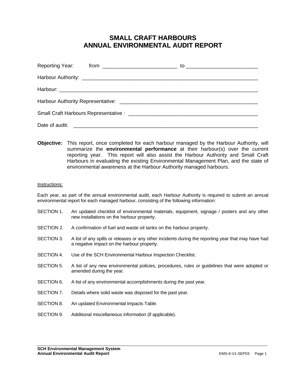### **SMALL CRAFT HARBOURS ANNUAL ENVIRONMENTAL AUDIT REPORT**

**Objective:** This report, once completed for each harbour managed by the Harbour Authority, will summarize the **environmental performance** at their harbour(s) over the current reporting year. This report will also assist the Harbour Authority and Small Craft Harbours in evaluating the existing Environmental Management Plan, and the state of environmental awareness at the Harbour Authority managed harbours.

### Instructions:

Each year, as part of the annual environmental audit, each Harbour Authority is required to submit an annual environmental report for each managed harbour, consisting of the following information:

- SECTION 1. An updated checklist of environmental materials, equipment, signage / posters and any other new installations on the harbour property.
- SECTION 2. A confirmation of fuel and waste oil tanks on the harbour property.
- SECTION 3. A list of any spills or releases or any other incidents during the reporting year that may have had a negative impact on the harbour property.
- SECTION 4. Use of the SCH Environmental Harbour Inspection Checklist.
- SECTION 5. A list of any new environmental policies, procedures, rules or guidelines that were adopted or amended during the year.
- SECTION 6. A list of any environmental accomplishments during the past year.
- SECTION 7. Details where solid waste was disposed for the past year.
- SECTION 8. An updated Environmental Impacts Table.
- SECTION 9. Additional miscellaneous information (if applicable).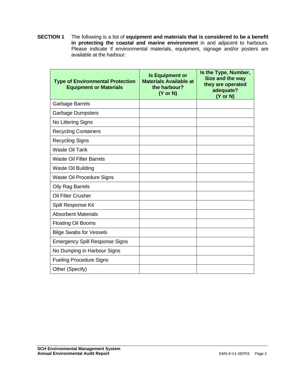**SECTION 1** The following is a list of **equipment and materials that is considered to be a benefit in protecting the coastal and marine environment** in and adjacent to harbours. Please indicate if environmental materials, equipment, signage and/or posters are available at the harbour:

| <b>Type of Environmental Protection</b><br><b>Equipment or Materials</b> | <b>Is Equipment or</b><br><b>Materials Available at</b><br>the harbour?<br>$(Y \text{ or } N)$ | Is the Type, Number,<br>Size and the way<br>they are operated<br>adequate?<br>$(Y \text{ or } N)$ |
|--------------------------------------------------------------------------|------------------------------------------------------------------------------------------------|---------------------------------------------------------------------------------------------------|
| <b>Garbage Barrels</b>                                                   |                                                                                                |                                                                                                   |
| <b>Garbage Dumpsters</b>                                                 |                                                                                                |                                                                                                   |
| No Littering Signs                                                       |                                                                                                |                                                                                                   |
| <b>Recycling Containers</b>                                              |                                                                                                |                                                                                                   |
| <b>Recycling Signs</b>                                                   |                                                                                                |                                                                                                   |
| <b>Waste Oil Tank</b>                                                    |                                                                                                |                                                                                                   |
| <b>Waste Oil Filter Barrels</b>                                          |                                                                                                |                                                                                                   |
| <b>Waste Oil Building</b>                                                |                                                                                                |                                                                                                   |
| Waste Oil Procedure Signs                                                |                                                                                                |                                                                                                   |
| <b>Oily Rag Barrels</b>                                                  |                                                                                                |                                                                                                   |
| <b>Oil Filter Crusher</b>                                                |                                                                                                |                                                                                                   |
| Spill Response Kit                                                       |                                                                                                |                                                                                                   |
| <b>Absorbent Materials</b>                                               |                                                                                                |                                                                                                   |
| <b>Floating Oil Booms</b>                                                |                                                                                                |                                                                                                   |
| <b>Bilge Swabs for Vessels</b>                                           |                                                                                                |                                                                                                   |
| <b>Emergency Spill Response Signs</b>                                    |                                                                                                |                                                                                                   |
| No Dumping in Harbour Signs                                              |                                                                                                |                                                                                                   |
| <b>Fueling Procedure Signs</b>                                           |                                                                                                |                                                                                                   |
| Other (Specify)                                                          |                                                                                                |                                                                                                   |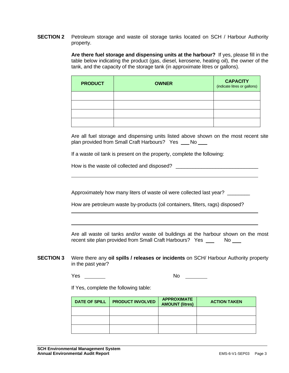**SECTION 2** Petroleum storage and waste oil storage tanks located on SCH / Harbour Authority property.

> **Are there fuel storage and dispensing units at the harbour?** If yes, please fill in the table below indicating the product (gas, diesel, kerosene, heating oil), the owner of the tank, and the capacity of the storage tank (in approximate litres or gallons).

| <b>PRODUCT</b> | <b>OWNER</b> | <b>CAPACITY</b><br>(indicate litres or gallons) |
|----------------|--------------|-------------------------------------------------|
|                |              |                                                 |
|                |              |                                                 |
|                |              |                                                 |
|                |              |                                                 |

Are all fuel storage and dispensing units listed above shown on the most recent site plan provided from Small Craft Harbours? Yes \_\_ No \_\_

If a waste oil tank is present on the property, complete the following:

How is the waste oil collected and disposed? \_\_\_\_\_\_\_\_\_\_\_\_\_\_\_\_\_\_\_\_\_\_\_\_\_\_\_\_\_\_\_\_\_\_\_

Approximately how many liters of waste oil were collected last year? \_\_\_\_\_\_\_\_

How are petroleum waste by-products (oil containers, filters, rags) disposed?

Are all waste oil tanks and/or waste oil buildings at the harbour shown on the most recent site plan provided from Small Craft Harbours? Yes \_\_\_\_\_ No \_\_\_\_

**SECTION 3** Were there any **oil spills / releases or incidents** on SCH/ Harbour Authority property in the past year?

Yes Note and Note and Note and Note and Note and Note and Note and Note and Note and Note and Note and Note and Note and Note and Note and Note and Note and Note and Note and Note and Note and Note and Note and Note and No

 $\overline{a}$ 

If Yes, complete the following table:

| DATE OF SPILL | <b>PRODUCT INVOLVED</b> | <b>APPROXIMATE</b><br><b>AMOUNT (litres)</b> | <b>ACTION TAKEN</b> |
|---------------|-------------------------|----------------------------------------------|---------------------|
|               |                         |                                              |                     |
|               |                         |                                              |                     |
|               |                         |                                              |                     |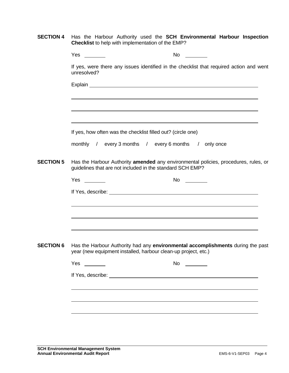|  |  |                                                          |  | <b>SECTION 4</b> Has the Harbour Authority used the <b>SCH Environmental Harbour Inspection</b> |  |
|--|--|----------------------------------------------------------|--|-------------------------------------------------------------------------------------------------|--|
|  |  | <b>Checklist</b> to help with implementation of the EMP? |  |                                                                                                 |  |

|                  |             | <b>No</b>                                                                                                                                                                                                                      |
|------------------|-------------|--------------------------------------------------------------------------------------------------------------------------------------------------------------------------------------------------------------------------------|
|                  | unresolved? | If yes, were there any issues identified in the checklist that required action and went                                                                                                                                        |
|                  |             | Explain explaint the contract of the contract of the contract of the contract of the contract of the contract of the contract of the contract of the contract of the contract of the contract of the contract of the contract  |
|                  |             |                                                                                                                                                                                                                                |
|                  |             |                                                                                                                                                                                                                                |
|                  |             |                                                                                                                                                                                                                                |
|                  |             | If yes, how often was the checklist filled out? (circle one)                                                                                                                                                                   |
|                  |             | monthly / every 3 months / every 6 months / only once                                                                                                                                                                          |
| <b>SECTION 5</b> |             | Has the Harbour Authority amended any environmental policies, procedures, rules, or<br>guidelines that are not included in the standard SCH EMP?                                                                               |
|                  | $Yes \_\_$  | No $\qquad \qquad$                                                                                                                                                                                                             |
|                  |             | If Yes, describe: experiment of the state of the state of the state of the state of the state of the state of the state of the state of the state of the state of the state of the state of the state of the state of the stat |
|                  |             |                                                                                                                                                                                                                                |
|                  |             |                                                                                                                                                                                                                                |
|                  |             |                                                                                                                                                                                                                                |
| <b>SECTION 6</b> |             | Has the Harbour Authority had any environmental accomplishments during the past<br>year (new equipment installed, harbour clean-up project, etc.)                                                                              |
|                  | Yes         | No                                                                                                                                                                                                                             |
|                  |             |                                                                                                                                                                                                                                |
|                  |             |                                                                                                                                                                                                                                |
|                  |             |                                                                                                                                                                                                                                |
|                  |             |                                                                                                                                                                                                                                |
|                  |             |                                                                                                                                                                                                                                |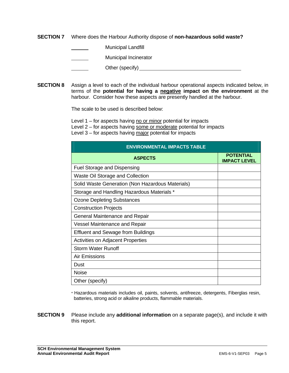**SECTION 7** Where does the Harbour Authority dispose of **non-hazardous solid waste?** 

Municipal Landfill

Municipal Incinerator

Other (specify) example of the state of the state of the state of the state of the state of the state of the state of the state of the state of the state of the state of the state of the state of the state of the state of

**SECTION 8** Assign a level to each of the individual harbour operational aspects indicated below, in terms of the **potential for having a negative impact on the environment** at the harbour. Consider how these aspects are presently handled at the harbour.

The scale to be used is described below:

Level  $1$  – for aspects having no or minor potential for impacts

Level 2 – for aspects having some or moderate potential for impacts

Level 3 – for aspects having major potential for impacts

| <b>ENVIRONMENTAL IMPACTS TABLE</b>               |                                         |
|--------------------------------------------------|-----------------------------------------|
| <b>ASPECTS</b>                                   | <b>POTENTIAL</b><br><b>IMPACT LEVEL</b> |
| <b>Fuel Storage and Dispensing</b>               |                                         |
| Waste Oil Storage and Collection                 |                                         |
| Solid Waste Generation (Non Hazardous Materials) |                                         |
| Storage and Handling Hazardous Materials *       |                                         |
| <b>Ozone Depleting Substances</b>                |                                         |
| <b>Construction Projects</b>                     |                                         |
| General Maintenance and Repair                   |                                         |
| <b>Vessel Maintenance and Repair</b>             |                                         |
| <b>Effluent and Sewage from Buildings</b>        |                                         |
| <b>Activities on Adjacent Properties</b>         |                                         |
| <b>Storm Water Runoff</b>                        |                                         |
| <b>Air Emissions</b>                             |                                         |
| Dust                                             |                                         |
| <b>Noise</b>                                     |                                         |
| Other (specify)                                  |                                         |

\* Hazardous materials includes oil, paints, solvents, antifreeze, detergents, Fiberglas resin, batteries, strong acid or alkaline products, flammable materials.

**SECTION 9** Please include any **additional information** on a separate page(s), and include it with this report.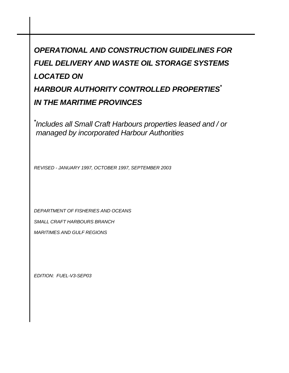# *OPERATIONAL AND CONSTRUCTION GUIDELINES FOR FUEL DELIVERY AND WASTE OIL STORAGE SYSTEMS LOCATED ON HARBOUR AUTHORITY CONTROLLED PROPERTIES\* IN THE MARITIME PROVINCES*

*\* Includes all Small Craft Harbours properties leased and / or managed by incorporated Harbour Authorities*

*REVISED - JANUARY 1997, OCTOBER 1997, SEPTEMBER 2003* 

*DEPARTMENT OF FISHERIES AND OCEANS* 

*SMALL CRAFT HARBOURS BRANCH* 

*MARITIMES AND GULF REGIONS* 

*EDITION: FUEL-V3-SEP03*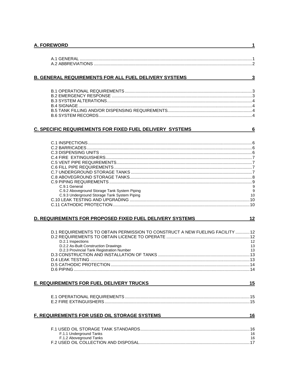|--|

### B. GENERAL REQUIREMENTS FOR ALL FUEL DELIVERY SYSTEMS

### C. SPECIFIC REQUIREMENTS FOR FIXED FUEL DELIVERY SYSTEMS

 $6$ 

 $12$ 

 $\overline{1}$ 

 $\overline{\mathbf{3}}$ 

| C.9.1 General                                | 9  |
|----------------------------------------------|----|
| C.9.2 Aboveground Storage Tank System Piping |    |
| C.9.3 Underground Storage Tank System Piping | 10 |
|                                              |    |
|                                              |    |
|                                              |    |

### D. REQUIREMENTS FOR PROPOSED FIXED FUEL DELIVERY SYSTEMS

| D.1 REQUIREMENTS TO OBTAIN PERMISSION TO CONSTRUCT A NEW FUELING FACILITY  12 |    |
|-------------------------------------------------------------------------------|----|
|                                                                               |    |
| D.2.1 Inspections                                                             | 12 |
| D.2.2 As-Built Construction Drawings                                          | 13 |
| D.2.3 Provincial Tank Registration Number                                     | 13 |
|                                                                               |    |
|                                                                               |    |
|                                                                               |    |
|                                                                               |    |
|                                                                               |    |

### E. REQUIREMENTS FOR FUEL DELIVERY TRUCKS

### F. REQUIREMENTS FOR USED OIL STORAGE SYSTEMS

 $16$ 

 $15$ 

| F.1.1 Underground Tanks | 16 |
|-------------------------|----|
| F.1.2 Aboveground Tanks | 16 |
|                         |    |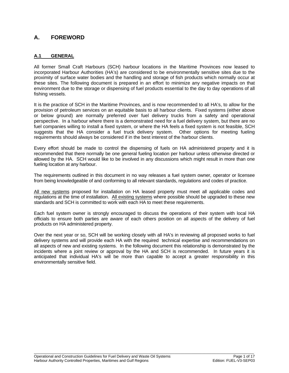### **A. FOREWORD**

### **A.1 GENERAL**

All former Small Craft Harbours (SCH) harbour locations in the Maritime Provinces now leased to incorporated Harbour Authorities (HA's) are considered to be environmentally sensitive sites due to the proximity of surface water bodies and the handling and storage of fish products which normally occur at these sites. The following document is prepared in an effort to minimize any negative impacts on that environment due to the storage or dispensing of fuel products essential to the day to day operations of all fishing vessels.

It is the practice of SCH in the Maritime Provinces, and is now recommended to all HA's, to allow for the provision of petroleum services on an equitable basis to all harbour clients. Fixed systems (either above or below ground) are normally preferred over fuel delivery trucks from a safety and operational perspective. In a harbour where there is a demonstrated need for a fuel delivery system, but there are no fuel companies willing to install a fixed system, or where the HA feels a fixed system is not feasible, SCH suggests that the HA consider a fuel truck delivery system. Other options for meeting fueling requirements should always be considered if in the best interest of the harbour clients.

Every effort should be made to control the dispensing of fuels on HA administered property and it is recommended that there normally be one general fueling location per harbour unless otherwise directed or allowed by the HA. SCH would like to be involved in any discussions which might result in more than one fueling location at any harbour.

The requirements outlined in this document in no way releases a fuel system owner, operator or licensee from being knowledgeable of and conforming to all relevant standards, regulations and codes of practice.

All new systems proposed for installation on HA leased property must meet all applicable codes and regulations at the time of installation. All existing systems where possible should be upgraded to these new standards and SCH is committed to work with each HA to meet these requirements.

Each fuel system owner is strongly encouraged to discuss the operations of their system with local HA officials to ensure both parties are aware of each others position on all aspects of the delivery of fuel products on HA administered property.

Over the next year or so, SCH will be working closely with all HA's in reviewing all proposed works to fuel delivery systems and will provide each HA with the required technical expertise and recommendations on all aspects of new and existing systems. In the following document this relationship is demonstrated by the incidents where a joint review or approval by the HA and SCH is recommended. In future years it is anticipated that individual HA's will be more than capable to accept a greater responsibility in this environmentally sensitive field.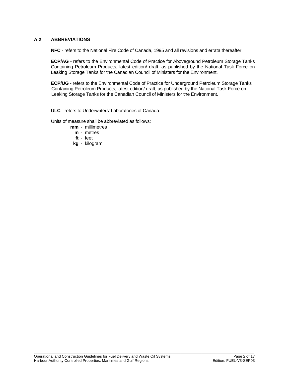### **A.2 ABBREVIATIONS**

 **NFC** - refers to the National Fire Code of Canada, 1995 and all revisions and errata thereafter.

 **ECP/AG** - refers to the Environmental Code of Practice for Aboveground Petroleum Storage Tanks Containing Petroleum Products, latest edition/ draft, as published by the National Task Force on Leaking Storage Tanks for the Canadian Council of Ministers for the Environment.

 **ECP/UG** - refers to the Environmental Code of Practice for Underground Petroleum Storage Tanks Containing Petroleum Products, latest edition/ draft, as published by the National Task Force on Leaking Storage Tanks for the Canadian Council of Ministers for the Environment.

 **ULC** - refers to Underwriters' Laboratories of Canada.

Units of measure shall be abbreviated as follows:

- **mm** millimetres
	- **m** metres
	- **ft** feet
- **kg** kilogram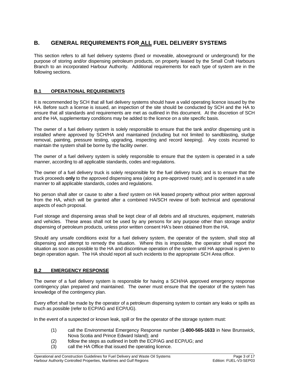### **B. GENERAL REQUIREMENTS FOR ALL FUEL DELIVERY SYSTEMS**

This section refers to all fuel delivery systems (fixed or moveable, aboveground or underground) for the purpose of storing and/or dispensing petroleum products, on property leased by the Small Craft Harbours Branch to an incorporated Harbour Authority. Additional requirements for each type of system are in the following sections.

### **B.1 OPERATIONAL REQUIREMENTS**

It is recommended by SCH that all fuel delivery systems should have a valid operating licence issued by the HA. Before such a license is issued, an inspection of the site should be conducted by SCH and the HA to ensure that all standards and requirements are met as outlined in this document. At the discretion of SCH and the HA, supplementary conditions may be added to the licence on a site specific basis.

The owner of a fuel delivery system is solely responsible to ensure that the tank and/or dispensing unit is installed where approved by SCH/HA and maintained (including but not limited to sandblasting, sludge removal, painting, pressure testing, upgrading, inspecting and record keeping). Any costs incurred to maintain the system shall be borne by the facility owner.

The owner of a fuel delivery system is solely responsible to ensure that the system is operated in a safe manner, according to all applicable standards, codes and regulations.

The owner of a fuel delivery truck is solely responsible for the fuel delivery truck and is to ensure that the truck proceeds **only** to the approved dispensing area (along a pre-approved route); and is operated in a safe manner to all applicable standards, codes and regulations.

No person shall alter or cause to alter a *fixed system* on HA leased property without prior written approval from the HA, which will be granted after a combined HA/SCH review of both technical and operational aspects of each proposal.

Fuel storage and dispensing areas shall be kept clear of all debris and all structures, equipment, materials and vehicles. These areas shall not be used by any persons for any purpose other than storage and/or dispensing of petroleum products, unless prior written consent HA's been obtained from the HA.

Should any unsafe conditions exist for a fuel delivery system, the operator of the system, shall stop all dispensing and attempt to remedy the situation. Where this is impossible, the operator shall report the situation as soon as possible to the HA and discontinue operation of the system until HA approval is given to begin operation again. The HA should report all such incidents to the appropriate SCH Area office.

### **B.2 EMERGENCY RESPONSE**

The owner of a fuel delivery system is responsible for having a SCH/HA approved emergency response contingency plan prepared and maintained. The owner must ensure that the operator of the system has knowledge of the contingency plan.

Every effort shall be made by the operator of a petroleum dispensing system to contain any leaks or spills as much as possible (refer to ECP/AG and ECP/UG).

\_\_\_\_\_\_\_\_\_\_\_\_\_\_\_\_\_\_\_\_\_\_\_\_\_\_\_\_\_\_\_\_\_\_\_\_\_\_\_\_\_\_\_\_\_\_\_\_\_\_\_\_\_\_\_\_\_\_\_\_\_\_\_\_\_\_\_\_\_\_\_\_\_\_\_\_\_\_\_\_\_\_\_\_\_\_\_\_\_\_\_\_\_\_\_\_\_\_\_\_\_\_\_\_\_

In the event of a suspected or known leak, spill or fire the operator of the storage system must:

- (1) call the Environmental Emergency Response number (**1-800-565-1633** in New Brunswick, Nova Scotia and Prince Edward Island); and
- (2) follow the steps as outlined in both the ECP/AG and ECP/UG; and
- (3) call the HA Office that issued the operating licence.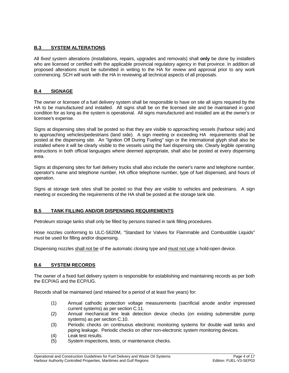### **B.3 SYSTEM ALTERATIONS**

All *fixed system* alterations (installations, repairs, upgrades and removals) shall **only** be done by installers who are licensed or certified with the applicable provincial regulatory agency in that province. In addition all proposed alterations must be submitted in writing to the HA for review and approval prior to any work commencing. SCH will work with the HA in reviewing all technical aspects of all proposals.

### **B.4 SIGNAGE**

The owner or licensee of a fuel delivery system shall be responsible to have on site all signs required by the HA to be manufactured and installed. All signs shall be on the licensed site and be maintained in good condition for as long as the system is operational. All signs manufactured and installed are at the owner's or licensee's expense.

Signs at dispensing sites shall be posted so that they are visible to approaching vessels (harbour side) and to approaching vehicles/pedestrians (land side). A sign meeting or exceeding HA requirements shall be posted at the dispensing site. An "Ignition Off During Fueling" sign or the international glyph shall also be installed where it will be clearly visible to the vessels using the fuel dispensing site. Clearly legible operating instructions in both official languages where deemed appropriate, shall also be posted at every dispensing area.

Signs at dispensing sites for fuel delivery trucks shall also include the owner's name and telephone number, operator's name and telephone number, HA office telephone number, type of fuel dispensed, and hours of operation.

Signs at storage tank sites shall be posted so that they are visible to vehicles and pedestrians. A sign meeting or exceeding the requirements of the HA shall be posted at the storage tank site.

### **B.5 TANK FILLING AND/OR DISPENSING REQUIREMENTS**

Petroleum storage tanks shall only be filled by persons trained in tank filling procedures.

Hose nozzles conforming to ULC-S620M, "Standard for Valves for Flammable and Combustible Liquids" must be used for filling and/or dispensing.

Dispensing nozzles shall not be of the automatic closing type and must not use a hold-open device.

### **B.6 SYSTEM RECORDS**

The owner of a fixed fuel delivery system is responsible for establishing and maintaining records as per both the ECP/AG and the ECP/UG.

Records shall be maintained (and retained for a period of at least five years) for:

- (1) Annual cathodic protection voltage measurements (sacrificial anode and/or impressed current systems) as per section C.11.
- (2) Annual mechanical line leak detection device checks (on existing submersible pump systems) as per section C.10.
- (3) Periodic checks on continuous electronic monitoring systems for double wall tanks and piping leakage. Periodic checks on other non-electronic system monitoring devices.

- (4) Leak test results.
- (5) System inspections, tests, or maintenance checks.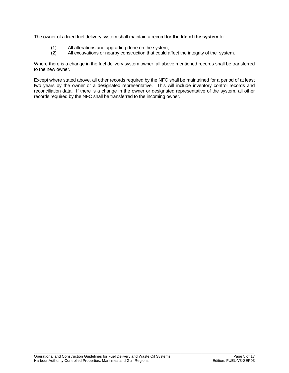The owner of a fixed fuel delivery system shall maintain a record for **the life of the system** for:

- (1) All alterations and upgrading done on the system;
- (2) All excavations or nearby construction that could affect the integrity of the system.

Where there is a change in the fuel delivery system owner, all above mentioned records shall be transferred to the new owner.

Except where stated above, all other records required by the NFC shall be maintained for a period of at least two years by the owner or a designated representative. This will include inventory control records and reconciliation data. If there is a change in the owner or designated representative of the system, all other records required by the NFC shall be transferred to the incoming owner.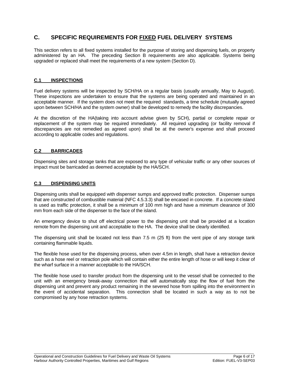### **C. SPECIFIC REQUIREMENTS FOR FIXED FUEL DELIVERY SYSTEMS**

This section refers to all fixed systems installed for the purpose of storing and dispensing fuels, on property administered by an HA. The preceding Section B requirements are also applicable. Systems being upgraded or replaced shall meet the requirements of a new system (Section D).

### **C.1 INSPECTIONS**

Fuel delivery systems will be inspected by SCH/HA on a regular basis (usually annually, May to August). These inspections are undertaken to ensure that the systems are being operated and maintained in an acceptable manner. If the system does not meet the required standards, a time schedule (mutually agreed upon between SCH/HA and the system owner) shall be developed to remedy the facility discrepancies.

At the discretion of the HA(taking into account advise given by SCH), partial or complete repair or replacement of the system may be required immediately. All required upgrading (or facility removal if discrepancies are not remedied as agreed upon) shall be at the owner's expense and shall proceed according to applicable codes and regulations.

### **C.2 BARRICADES**

Dispensing sites and storage tanks that are exposed to any type of vehicular traffic or any other sources of impact must be barricaded as deemed acceptable by the HA/SCH.

### **C.3 DISPENSING UNITS**

Dispensing units shall be equipped with dispenser sumps and approved traffic protection. Dispenser sumps that are constructed of combustible material (NFC 4.5.3.3) shall be encased in concrete. If a concrete island is used as traffic protection, it shall be a minimum of 100 mm high and have a minimum clearance of 300 mm from each side of the dispenser to the face of the island.

An emergency device to shut off electrical power to the dispensing unit shall be provided at a location remote from the dispensing unit and acceptable to the HA. The device shall be clearly identified.

The dispensing unit shall be located not less than 7.5 m (25 ft) from the vent pipe of any storage tank containing flammable liquids.

The flexible hose used for the dispensing process, when over 4.5m in length, shall have a retraction device such as a hose reel or retraction pole which will contain either the entire length of hose or will keep it clear of the wharf surface in a manner acceptable to the HA/SCH.

The flexible hose used to transfer product from the dispensing unit to the vessel shall be connected to the unit with an emergency break-away connection that will automatically stop the flow of fuel from the dispensing unit and prevent any product remaining in the severed hose from spilling into the environment in the event of accidental separation. This connection shall be located in such a way as to not be compromised by any hose retraction systems.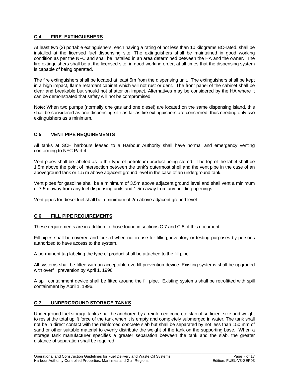### **C.4 FIRE EXTINGUISHERS**

At least two (2) portable extinguishers, each having a rating of not less than 10 kilograms BC-rated, shall be installed at the licensed fuel dispensing site. The extinguishers shall be maintained in good working condition as per the NFC and shall be installed in an area determined between the HA and the owner. The fire extinguishers shall be at the licensed site, in good working order, at all times that the dispensing system is capable of being operated.

The fire extinguishers shall be located at least 5m from the dispensing unit. The extinguishers shall be kept in a high impact, flame retardant cabinet which will not rust or dent. The front panel of the cabinet shall be clear and breakable but should not shatter on impact. Alternatives may be considered by the HA where it can be demonstrated that safety will not be compromised.

Note: When two pumps (normally one gas and one diesel) are located on the same dispensing island, this shall be considered as one dispensing site as far as fire extinguishers are concerned, thus needing only two extinguishers as a minimum.

### **C.5 VENT PIPE REQUIREMENTS**

All tanks at SCH harbours leased to a Harbour Authority shall have normal and emergency venting conforming to NFC Part 4.

Vent pipes shall be labeled as to the type of petroleum product being stored. The top of the label shall be 1.5m above the point of intersection between the tank's outermost shell and the vent pipe in the case of an aboveground tank or 1.5 m above adjacent ground level in the case of an underground tank.

Vent pipes for gasoline shall be a minimum of 3.5m above adjacent ground level and shall vent a minimum of 7.5m away from any fuel dispensing units and 1.5m away from any building openings.

Vent pipes for diesel fuel shall be a minimum of 2m above adjacent ground level.

### **C.6 FILL PIPE REQUIREMENTS**

These requirements are in addition to those found in sections C.7 and C.8 of this document.

Fill pipes shall be covered and locked when not in use for filling, inventory or testing purposes by persons authorized to have access to the system.

A permanent tag labeling the type of product shall be attached to the fill pipe.

All systems shall be fitted with an acceptable overfill prevention device. Existing systems shall be upgraded with overfill prevention by April 1, 1996.

A spill containment device shall be fitted around the fill pipe. Existing systems shall be retrofitted with spill containment by April 1, 1996.

### **C.7 UNDERGROUND STORAGE TANKS**

Underground fuel storage tanks shall be anchored by a reinforced concrete slab of sufficient size and weight to resist the total uplift force of the tank when it is empty and completely submerged in water. The tank shall not be in direct contact with the reinforced concrete slab but shall be separated by not less than 150 mm of sand or other suitable material to evenly distribute the weight of the tank on the supporting base. When a storage tank manufacturer specifies a greater separation between the tank and the slab, the greater distance of separation shall be required.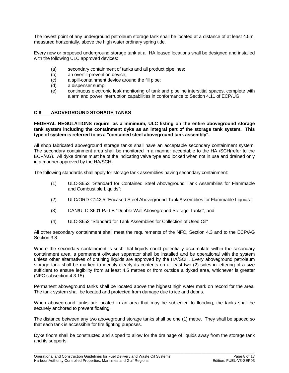The lowest point of any underground petroleum storage tank shall be located at a distance of at least 4.5m, measured horizontally, above the high water ordinary spring tide.

Every new or proposed underground storage tank at all HA leased locations shall be designed and installed with the following ULC approved devices:

- (a) secondary containment of tanks and all product pipelines;
- (b) an overfill-prevention device;
- (c) a spill-containment device around the fill pipe;
- (d) a dispenser sump;
- (e) continuous electronic leak monitoring of tank and pipeline interstitial spaces, complete with alarm and power interruption capabilities in conformance to Section 4.11 of ECP/UG.

### **C.8 ABOVEGROUND STORAGE TANKS**

### **FEDERAL REGULATIONS require, as a minimum, ULC listing on the entire aboveground storage tank system including the containment dyke as an integral part of the storage tank system. This type of system is referred to as a "contained steel aboveground tank assembly".**

All shop fabricated aboveground storage tanks shall have an acceptable secondary containment system. The secondary containment area shall be monitored in a manner acceptable to the HA /SCH(refer to the ECP/AG). All dyke drains must be of the indicating valve type and locked when not in use and drained only in a manner approved by the HA/SCH.

The following standards shall apply for storage tank assemblies having secondary containment:

- (1) ULC-S653 "Standard for Contained Steel Aboveground Tank Assemblies for Flammable and Combustible Liquids";
- (2) ULC/ORD-C142.5 "Encased Steel Aboveground Tank Assemblies for Flammable Liquids";
- (3) CAN/ULC-S601 Part B "Double Wall Aboveground Storage Tanks"; and
- (4) ULC-S652 "Standard for Tank Assemblies for Collection of Used Oil"

All other secondary containment shall meet the requirements of the NFC, Section 4.3 and to the ECP/AG Section 3.8.

Where the secondary containment is such that liquids could potentially accumulate within the secondary containment area, a permanent oil/water separator shall be installed and be operational with the system unless other alternatives of draining liquids are approved by the HA/SCH. Every aboveground petroleum storage tank shall be marked to identify clearly its contents on at least two (2) sides in lettering of a size sufficient to ensure legibility from at least 4.5 metres or from outside a dyked area, whichever is greater (NFC subsection 4.3.15).

Permanent aboveground tanks shall be located above the highest high water mark on record for the area. The tank system shall be located and protected from damage due to ice and debris.

When aboveground tanks are located in an area that may be subjected to flooding, the tanks shall be securely anchored to prevent floating.

The distance between any two aboveground storage tanks shall be one (1) metre. They shall be spaced so that each tank is accessible for fire fighting purposes.

Dyke floors shall be constructed and sloped to allow for the drainage of liquids away from the storage tank and its supports.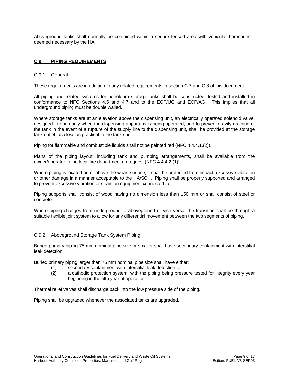Aboveground tanks shall normally be contained within a secure fenced area with vehicular barricades if deemed necessary by the HA.

### **C.9 PIPING REQUIREMENTS**

### C.9.1 General

These requirements are in addition to any related requirements in section C.7 and C.8 of this document.

All piping and related systems for petroleum storage tanks shall be constructed, tested and installed in conformance to NFC Sections 4.5 and 4.7 and to the ECP/UG and ECP/AG. This implies that all underground piping must be double walled.

Where storage tanks are at an elevation above the dispensing unit, an electrically operated solenoid valve, designed to open only when the dispensing apparatus is being operated, and to prevent gravity draining of the tank in the event of a rupture of the supply line to the dispensing unit, shall be provided at the storage tank outlet, as close as practical to the tank shell.

Piping for flammable and combustible liquids shall not be painted red (NFC 4.4.4.1.(2)).

Plans of the piping layout, including tank and pumping arrangements, shall be available from the owner/operator to the local fire department on request (NFC 4.4.4.2.(1)).

Where piping is located on or above the wharf surface, it shall be protected from impact, excessive vibration or other damage in a manner acceptable to the HA/SCH. Piping shall be properly supported and arranged to prevent excessive vibration or strain on equipment connected to it.

Piping supports shall consist of wood having no dimension less than 150 mm or shall consist of steel or concrete.

Where piping changes from underground to aboveground or vice versa, the transition shall be through a suitable flexible joint system to allow for any differential movement between the two segments of piping.

### C.9.2 Aboveground Storage Tank System Piping

Buried primary piping 75 mm nominal pipe size or smaller shall have secondary containment with interstitial leak detection.

\_\_\_\_\_\_\_\_\_\_\_\_\_\_\_\_\_\_\_\_\_\_\_\_\_\_\_\_\_\_\_\_\_\_\_\_\_\_\_\_\_\_\_\_\_\_\_\_\_\_\_\_\_\_\_\_\_\_\_\_\_\_\_\_\_\_\_\_\_\_\_\_\_\_\_\_\_\_\_\_\_\_\_\_\_\_\_\_\_\_\_\_\_\_\_\_\_\_\_\_\_\_\_\_\_

Buried primary piping larger than 75 mm nominal pipe size shall have either:

- (1) secondary containment with interstitial leak detection; or
- (2) a cathodic protection system, with the piping being pressure tested for integrity every year beginning in the fifth year of operation.

Thermal relief valves shall discharge back into the low pressure side of the piping.

Piping shall be upgraded whenever the associated tanks are upgraded.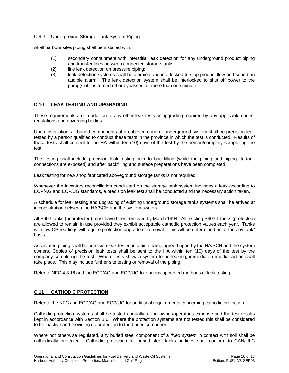### C.9.3 Underground Storage Tank System Piping

At all harbour sites piping shall be installed with:

- (1) secondary containment with interstitial leak detection for any underground product piping and transfer lines between connected storage tanks;
- (2) line leak detection on pressure piping;
- (3) leak detection systems shall be alarmed and interlocked to stop product flow and sound an audible alarm. The leak detection system shall be interlocked to shut off power to the pump(s) if it is turned off or bypassed for more than one minute.

### **C.10 LEAK TESTING AND UPGRADING**

These requirements are in addition to any other leak tests or upgrading required by any applicable codes, regulations and governing bodies.

Upon installation, all buried components of an aboveground or underground system shall be precision leak tested by a person qualified to conduct these tests in the province in which the test is conducted. Results of these tests shall be sent to the HA within ten (10) days of the test by the person/company completing the test.

The testing shall include precision leak testing prior to backfilling (while the piping and piping -to-tank connections are exposed) and after backfilling and surface preparations have been completed.

Leak testing for new shop fabricated aboveground storage tanks is not required.

Whenever the inventory reconciliation conducted on the storage tank system indicates a leak according to ECP/AG and ECP/UG standards, a precision leak test shall be conducted and the necessary action taken.

A schedule for leak testing and upgrading of existing underground storage tanks systems shall be arrived at in consultation between the HA/SCH and the system owners.

All S603 tanks (unprotected) must have been removed by March 1994. All existing S603.1 tanks (protected) are allowed to remain in use provided they exhibit acceptable cathodic protection values each year. Tanks with low CP readings will require protection upgrade or removal. This will be determined on a "tank by tank" basis.

Associated piping shall be precision leak tested in a time frame agreed upon by the HA/SCH and the system owners. Copies of precision leak tests shall be sent to the HA within ten (10) days of the test by the company completing the test. Where tests show a system to be leaking, immediate remedial action shall take place. This may include further site testing or removal of the piping.

Refer to NFC 4.3.16 and the ECP/AG and ECP/UG for various approved methods of leak testing.

### **C.11 CATHODIC PROTECTION**

Refer to the NFC and ECP/AG and ECP/UG for additional requirements concerning cathodic protection.

Cathodic protection systems shall be tested annually at the owner/operator's expense and the test results kept in accordance with Section B.6. Where the protection systems are not tested this shall be considered to be inactive and providing no protection to the buried component.

Where not otherwise regulated, any buried steel component of a *fixed system* in contact with soil shall be cathodically protected. Cathodic protection for buried steel tanks or lines shall conform to CAN/ULC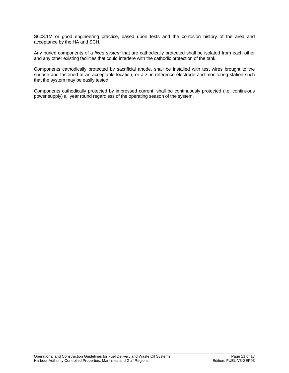S603.1M or good engineering practice, based upon tests and the corrosion history of the area and acceptance by the HA and SCH.

Any buried components of a *fixed system* that are cathodically protected shall be isolated from each other and any other existing facilities that could interfere with the cathodic protection of the tank.

Components cathodically protected by sacrificial anode, shall be installed with test wires brought to the surface and fastened at an acceptable location, or a zinc reference electrode and monitoring station such that the system may be easily tested.

Components cathodically protected by impressed current, shall be continuously protected (i.e. continuous power supply) all year round regardless of the operating season of the system.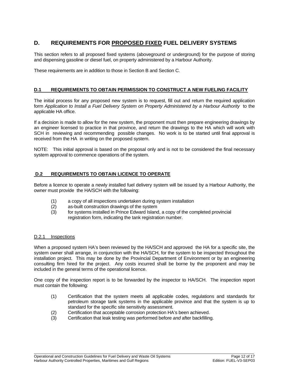### **D. REQUIREMENTS FOR PROPOSED FIXED FUEL DELIVERY SYSTEMS**

This section refers to all proposed fixed systems (aboveground or underground) for the purpose of storing and dispensing gasoline or diesel fuel, on property administered by a Harbour Authority.

These requirements are in addition to those in Section B and Section C.

### **D.1 REQUIREMENTS TO OBTAIN PERMISSION TO CONSTRUCT A NEW FUELING FACILITY**

The initial process for any proposed new system is to request, fill out and return the required application form *Application to Install a Fuel Delivery System on Property Administered by a Harbour Authority* to the applicable HA office.

If a decision is made to allow for the new system, the proponent must then prepare engineering drawings by an engineer licensed to practice in that province, and return the drawings to the HA which will work with SCH in reviewing and recommending possible changes. No work is to be started until final approval is received from the HA in writing on the proposed system.

NOTE: This initial approval is based on the proposal only and is not to be considered the final necessary system approval to commence operations of the system.

### **D.2 REQUIREMENTS TO OBTAIN LICENCE TO OPERATE**

Before a licence to operate a newly installed fuel delivery system will be issued by a Harbour Authority, the owner must provide the HA/SCH with the following:

- (1) a copy of all inspections undertaken during system installation
- (2) as-built construction drawings of the system
- (3) for systems installed in Prince Edward Island, a copy of the completed provincial registration form, indicating the tank registration number.

### D.2.1 Inspections

When a proposed system HA's been reviewed by the HA/SCH and approved the HA for a specific site, the system owner shall arrange, in conjunction with the HA/SCH, for the system to be inspected throughout the installation project. This may be done by the Provincial Department of Environment or by an engineering consulting firm hired for the project. Any costs incurred shall be borne by the proponent and may be included in the general terms of the operational licence.

One copy of the inspection report is to be forwarded by the inspector to HA/SCH. The inspection report must contain the following:

- (1) Certification that the system meets all applicable codes, regulations and standards for petroleum storage tank systems in the applicable province and that the system is up to standard for the specific site sensitivity assessment.
- (2) Certification that acceptable corrosion protection HA's been achieved.<br>(3) Certification that leak testing was performed before *and* after backfilling
- (3) Certification that leak testing was performed before *and* after backfilling.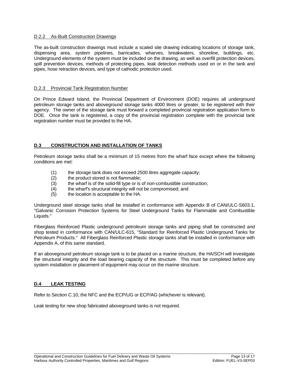### D.2.2 As-Built Construction Drawings

The as-built construction drawings must include a scaled site drawing indicating locations of storage tank, dispensing area, system pipelines, barricades, wharves, breakwaters, shoreline, buildings, etc. Underground elements of the system must be included on the drawing, as well as overfill protection devices, spill prevention devices, methods of protecting pipes, leak detection methods used on or in the tank and pipes, hose retraction devices, and type of cathodic protection used.

### D.2.3 Provincial Tank Registration Number

On Prince Edward Island, the Provincial Department of Environment (DOE) requires all underground petroleum storage tanks and aboveground storage tanks 4000 litres or greater, to be registered with their agency. The owner of the storage tank must forward a completed provincial registration application form to DOE. Once the tank is registered, a copy of the provincial registration complete with the provincial tank registration number must be provided to the HA.

### **D.3 CONSTRUCTION AND INSTALLATION OF TANKS**

Petroleum storage tanks shall be a minimum of 15 metres from the wharf face except where the following conditions are met:

- (1) the storage tank does not exceed 2500 litres aggregate capacity;
- (2) the product stored is not flammable;
- (3) the wharf is of the solid-fill type or is of non-combustible construction;
- (4) the wharf's structural integrity will not be compromised; and
- (5) the location is acceptable to the HA.

Underground steel storage tanks shall be installed in conformance with Appendix B of CAN/ULC-S603.1, "Galvanic Corrosion Protection Systems for Steel Underground Tanks for Flammable and Combustible Liquids."

Fiberglass Reinforced Plastic underground petroleum storage tanks and piping shall be constructed and shop tested in conformance with CAN/ULC-615, "Standard for Reinforced Plastic Underground Tanks for Petroleum Products." All Fiberglass Reinforced Plastic storage tanks shall be installed in conformance with Appendix A, of this same standard.

If an aboveground petroleum storage tank is to be placed on a marine structure, the HA/SCH will investigate the structural integrity and the load bearing capacity of the structure. This must be completed before any system installation or placement of equipment may occur on the marine structure.

\_\_\_\_\_\_\_\_\_\_\_\_\_\_\_\_\_\_\_\_\_\_\_\_\_\_\_\_\_\_\_\_\_\_\_\_\_\_\_\_\_\_\_\_\_\_\_\_\_\_\_\_\_\_\_\_\_\_\_\_\_\_\_\_\_\_\_\_\_\_\_\_\_\_\_\_\_\_\_\_\_\_\_\_\_\_\_\_\_\_\_\_\_\_\_\_\_\_\_\_\_\_\_\_\_

### **D.4 LEAK TESTING**

Refer to Section C.10, the NFC and the ECP/UG or ECP/AG (whichever is relevant).

Leak testing for new shop fabricated aboveground tanks is not required.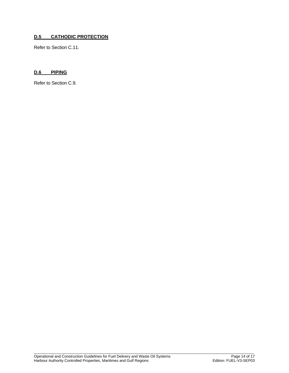### **D.5 CATHODIC PROTECTION**

Refer to Section C.11.

### **D.6 PIPING**

Refer to Section C.9.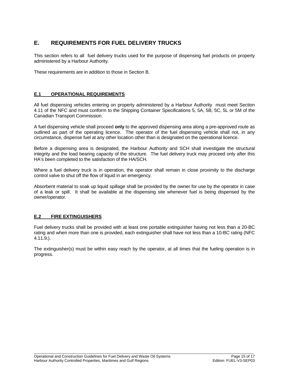### **E. REQUIREMENTS FOR FUEL DELIVERY TRUCKS**

This section refers to all fuel delivery trucks used for the purpose of dispensing fuel products on property administered by a Harbour Authority.

These requirements are in addition to those in Section B.

### **E.1 OPERATIONAL REQUIREMENTS**

All fuel dispensing vehicles entering on property administered by a Harbour Authority must meet Section 4.11 of the NFC and must conform to the Shipping Container Specifications 5, 5A, 5B, 5C, 5L or 5M of the Canadian Transport Commission.

A fuel dispensing vehicle shall proceed **only** to the approved dispensing area along a pre-approved route as outlined as part of the operating licence. The operator of the fuel dispensing vehicle shall not, in any circumstance, dispense fuel at any other location other than is designated on the operational licence.

Before a dispensing area is designated, the Harbour Authority and SCH shall investigate the structural integrity and the load bearing capacity of the structure. The fuel delivery truck may proceed only after this HA's been completed to the satisfaction of the HA/SCH.

Where a fuel delivery truck is in operation, the operator shall remain in close proximity to the discharge control valve to shut off the flow of liquid in an emergency.

Absorbent material to soak up liquid spillage shall be provided by the owner for use by the operator in case of a leak or spill. It shall be available at the dispensing site whenever fuel is being dispensed by the owner/operator.

### **E.2 FIRE EXTINGUISHERS**

Fuel delivery trucks shall be provided with at least one portable extinguisher having not less than a 20-BC rating and when more than one is provided, each extinguisher shall have not less than a 10-BC rating (NFC 4.11.9.).

The extinguisher(s) must be within easy reach by the operator, at all times that the fueling operation is in progress.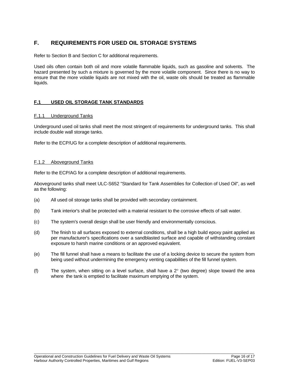### **F. REQUIREMENTS FOR USED OIL STORAGE SYSTEMS**

Refer to Section B and Section C for additional requirements.

Used oils often contain both oil and more volatile flammable liquids, such as gasoline and solvents. The hazard presented by such a mixture is governed by the more volatile component. Since there is no way to ensure that the more volatile liquids are not mixed with the oil, waste oils should be treated as flammable liquids.

### **F.1 USED OIL STORAGE TANK STANDARDS**

### F.1.1 Underground Tanks

Underground used oil tanks shall meet the most stringent of requirements for underground tanks. This shall include double wall storage tanks.

Refer to the ECP/UG for a complete description of additional requirements.

### F.1.2 Aboveground Tanks

Refer to the ECP/AG for a complete description of additional requirements.

Aboveground tanks shall meet ULC-S652 "Standard for Tank Assemblies for Collection of Used Oil", as well as the following:

- (a) All used oil storage tanks shall be provided with secondary containment.
- (b) Tank interior's shall be protected with a material resistant to the corrosive effects of salt water.
- (c) The system's overall design shall be user friendly and environmentally conscious.
- (d) The finish to all surfaces exposed to external conditions, shall be a high build epoxy paint applied as per manufacturer's specifications over a sandblasted surface and capable of withstanding constant exposure to harsh marine conditions or an approved equivalent.
- (e) The fill funnel shall have a means to facilitate the use of a locking device to secure the system from being used without undermining the emergency venting capabilities of the fill funnel system.
- (f) The system, when sitting on a level surface, shall have a 2° (two degree) slope toward the area where the tank is emptied to facilitate maximum emptying of the system.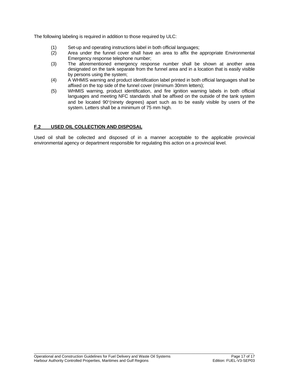The following labeling is required in addition to those required by ULC:

- (1) Set-up and operating instructions label in both official languages;
- Area under the funnel cover shall have an area to affix the appropriate Environmental Emergency response telephone number;
- (3) The aforementioned emergency response number shall be shown at another area designated on the tank separate from the funnel area and in a location that is easily visible by persons using the system;
- (4) A WHMIS warning and product identification label printed in both official languages shall be affixed on the top side of the funnel cover (minimum 30mm letters);
- (5) WHMIS warning, product identification, and fire ignition warning labels in both official languages and meeting NFC standards shall be affixed on the outside of the tank system and be located 90°(ninety degrees) apart such as to be easily visible by users of the system. Letters shall be a minimum of 75 mm high.

### **F.2 USED OIL COLLECTION AND DISPOSAL**

Used oil shall be collected and disposed of in a manner acceptable to the applicable provincial environmental agency or department responsible for regulating this action on a provincial level.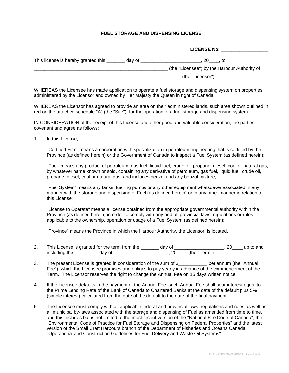### **FUEL STORAGE AND DISPENSING LICENSE**

**LICENSE No: \_\_\_\_\_\_\_\_\_\_\_\_\_\_\_\_\_\_**

|                                               | LILENJE NO.                                  |
|-----------------------------------------------|----------------------------------------------|
|                                               |                                              |
| This license is hereby granted this<br>day of | 20<br>. to                                   |
|                                               | (the "Licensee") by the Harbour Authority of |
|                                               | (the "Licensor").                            |

WHEREAS the Licensee has made application to operate a fuel storage and dispensing system on properties administered by the Licensor and owned by Her Majesty the Queen in right of Canada.

WHEREAS the Licensor has agreed to provide an area on their administered lands, such area shown outlined in red on the attached schedule "A" (the "Site"), for the operation of a fuel storage and dispensing system.

IN CONSIDERATION of the receipt of this License and other good and valuable consideration, the parties covenant and agree as follows:

1. In this License,

 "Certified Firm" means a corporation with specialization in petroleum engineering that is certified by the Province (as defined herein) or the Government of Canada to inspect a Fuel System (as defined herein);

 "Fuel" means any product of petroleum, gas fuel, liquid fuel, crude oil, propane, diesel, coal or natural gas, by whatever name known or sold, containing any derivative of petroleum, gas fuel, liquid fuel, crude oil, propane, diesel, coal or natural gas, and includes benzol and any benzol mixture;

 "Fuel System" means any tanks, fuelling pumps or any other equipment whatsoever associated in any manner with the storage and dispensing of Fuel (as defined herein) or in any other manner in relation to this License;

 "License to Operate" means a license obtained from the appropriate governmental authority within the Province (as defined herein) in order to comply with any and all provincial laws, regulations or rules applicable to the ownership, operation or usage of a Fuel System (as defined herein);

"Province" means the Province in which the Harbour Authority, the Licensor, is located.

- 2. This License is granted for the term from the \_\_\_\_\_\_\_ day of \_\_\_\_\_\_\_\_\_\_\_\_\_\_\_\_, 20\_\_\_\_ up to and including the \_\_\_\_\_\_\_\_\_ day of \_\_\_\_\_\_\_\_\_\_\_\_\_\_\_\_\_\_\_\_\_, 20\_\_\_\_ (the "Term").
- 3. The present License is granted in consideration of the sum of \$ per annum (the "Annual Fee"), which the Licensee promises and obliges to pay yearly in advance of the commencement of the Term. The Licensor reserves the right to change the Annual Fee on 15 days written notice.
- 4. If the Licensee defaults in the payment of the Annual Fee, such Annual Fee shall bear interest equal to the Prime Lending Rate of the Bank of Canada to Chartered Banks at the date of the default plus 5% (simple interest) calculated from the date of the default to the date of the final payment.
- 5. The Licensee must comply with all applicable federal and provincial laws, regulations and rules as well as all municipal by-laws associated with the storage and dispensing of Fuel as amended from time to time, and this includes but is not limited to the most recent version of the "National Fire Code of Canada", the "Environmental Code of Practice for Fuel Storage and Dispensing on Federal Properties" and the latest version of the Small Craft Harbours branch of the Department of Fisheries and Oceans Canada "Operational and Construction Guidelines for Fuel Delivery and Waste Oil Systems".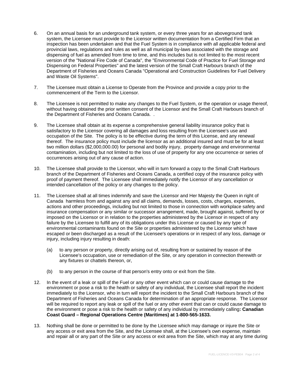- 6. On an annual basis for an underground tank system, or every three years for an aboveground tank system, the Licensee must provide to the Licensor written documentation from a Certified Firm that an inspection has been undertaken and that the Fuel System is in compliance with all applicable federal and provincial laws, regulations and rules as well as all municipal by-laws associated with the storage and dispensing of fuel as amended from time to time, and this includes but is not limited to the most recent version of the "National Fire Code of Canada", the "Environmental Code of Practice for Fuel Storage and Dispensing on Federal Properties" and the latest version of the Small Craft Harbours branch of the Department of Fisheries and Oceans Canada "Operational and Construction Guidelines for Fuel Delivery and Waste Oil Systems".
- 7. The Licensee must obtain a License to Operate from the Province and provide a copy prior to the commencement of the Term to the Licensor.
- 8. The Licensee is not permitted to make any changes to the Fuel System, or the operation or usage thereof, without having obtained the prior written consent of the Licensor and the Small Craft Harbours branch of the Department of Fisheries and Oceans Canada. .
- 9. The Licensee shall obtain at its expense a comprehensive general liability insurance policy that is satisfactory to the Licensor covering all damages and loss resulting from the Licensee's use and occupation of the Site. The policy is to be effective during the term of this License, and any renewal thereof. The insurance policy must include the licensor as an additional insured and must be for at least two million dollars (\$2,000,000.00) for personal and bodily injury, property damage and environmental contamination, including but not limited to the loss of use of property for any one occurrence or series of occurrences arising out of any cause of action.
- 10. The Licensee shall provide to the Licensor, who will in turn forward a copy to the Small Craft Harbours branch of the Department of Fisheries and Oceans Canada, a certified copy of the insurance policy with proof of payment thereof. The Licensee shall immediately notify the Licensor of any cancellation or intended cancellation of the policy or any changes to the policy.
- 11. The Licensee shall at all times indemnify and save the Licensor and Her Majesty the Queen in right of Canada harmless from and against any and all claims, demands, losses, costs, charges, expenses, actions and other proceedings, including but not limited to those in connection with workplace safety and insurance compensation or any similar or successor arrangement, made, brought against, suffered by or imposed on the Licensor or in relation to the properties administered by the Licensor in respect of any failure by the Licensee to fulfill any of its obligations under this License or caused by any type of environmental contaminants found on the Site or properties administered by the Licensor which have escaped or been discharged as a result of the Licensee's operations or in respect of any loss, damage or injury, including injury resulting in death:
	- (a) to any person or property, directly arising out of, resulting from or sustained by reason of the Licensee's occupation, use or remediation of the Site, or any operation in connection therewith or any fixtures or chattels thereon, or,
	- (b) to any person in the course of that person's entry onto or exit from the Site.
- 12. In the event of a leak or spill of the Fuel or any other event which can or could cause damage to the environment or pose a risk to the health or safety of any individual, the Licensee shall report the incident immediately to the Licensor, who in turn will report the incident to the Small Craft Harbours branch of the Department of Fisheries and Oceans Canada for determination of an appropriate response. The Licensor will be required to report any leak or spill of the fuel or any other event that can or could cause damage to the environment or pose a risk to the health or safety of any individual by immediately calling**: Canadian Coast Guard – Regional Operations Centre (Maritimes) at 1-800-565-1633.**
- 13. Nothing shall be done or permitted to be done by the Licensee which may damage or injure the Site or any access or exit area from the Site, and the Licensee shall, at the Licensee's own expense, maintain and repair all or any part of the Site or any access or exit area from the Site, which may at any time during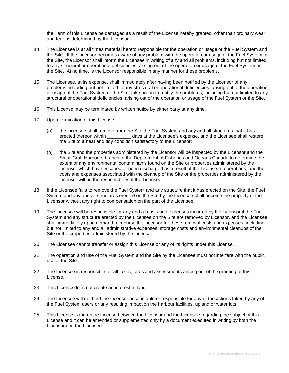the Term of this License be damaged as a result of the License hereby granted, other than ordinary wear and tear as determined by the Licensor.

- 14. The Licensee is at all times material hereto responsible for the operation or usage of the Fuel System and the Site. If the Licensor becomes aware of any problem with the operation or usage of the Fuel System or the Site, the Licensor shall inform the Licensee in writing of any and all problems, including but not limited to any structural or operational deficiencies, arising out of the operation or usage of the Fuel System or the Site. At no time, is the Licensor responsible in any manner for these problems.
- 15. The Licensee, at its expense, shall immediately after having been notified by the Licensor of any problems, including but not limited to any structural or operational deficiencies, arising out of the operation or usage of the Fuel System or the Site, take action to rectify the problems, including but not limited to any structural or operational deficiencies, arising out of the operation or usage of the Fuel System or the Site.
- 16. This License may be terminated by written notice by either party at any time.
- 17. Upon termination of this License;
	- (a) the Licensee shall remove from the Site the Fuel System and any and all structures that it has erected thereon within days at the Licensee's expense, and the Licensee shall restore the Site to a neat and tidy condition satisfactory to the Licensor;
	- (b) the Site and the properties administered by the Licensor will be inspected by the Licensor and the Small Craft Harbours branch of the Department of Fisheries and Oceans Canada to determine the extent of any environmental contaminants found on the Site or properties administered by the Licensor which have escaped or been discharged as a result of the Licensee's operations, and the costs and expenses associated with the cleanup of the Site or the properties administered by the Licensor will be the responsibility of the Licensee.
- 18. If the Licensee fails to remove the Fuel System and any structure that it has erected on the Site, the Fuel System and any and all structures erected on the Site by the Licensee shall become the property of the Licensor without any right to compensation on the part of the Licensee.
- 19. The Licensee will be responsible for any and all costs and expenses incurred by the Licensor if the Fuel System and any structure erected by the Licensee on the Site are removed by Licensor, and the Licensee shall immediately upon demand reimburse the Licensor for these removal costs and expenses, including but not limited to any and all administrative expenses, storage costs and environmental cleanups of the Site or the properties administered by the Licensor.
- 20. The Licensee cannot transfer or assign this License or any of its rights under this License.
- 21. The operation and use of the Fuel System and the Site by the Licensee must not interfere with the public use of the Site.
- 22. The Licensee is responsible for all taxes, rates and assessments arising out of the granting of this License.
- 23. This License does not create an interest in land.
- 24. The Licensee will not hold the Licensor accountable or responsible for any of the actions taken by any of the Fuel System users or any resulting impact on the harbour facilities, upland or water lots.
- 25. This License is the entire License between the Licensor and the Licensee regarding the subject of this License and it can be amended or supplemented only by a document executed in writing by both the Licensor and the Licensee.